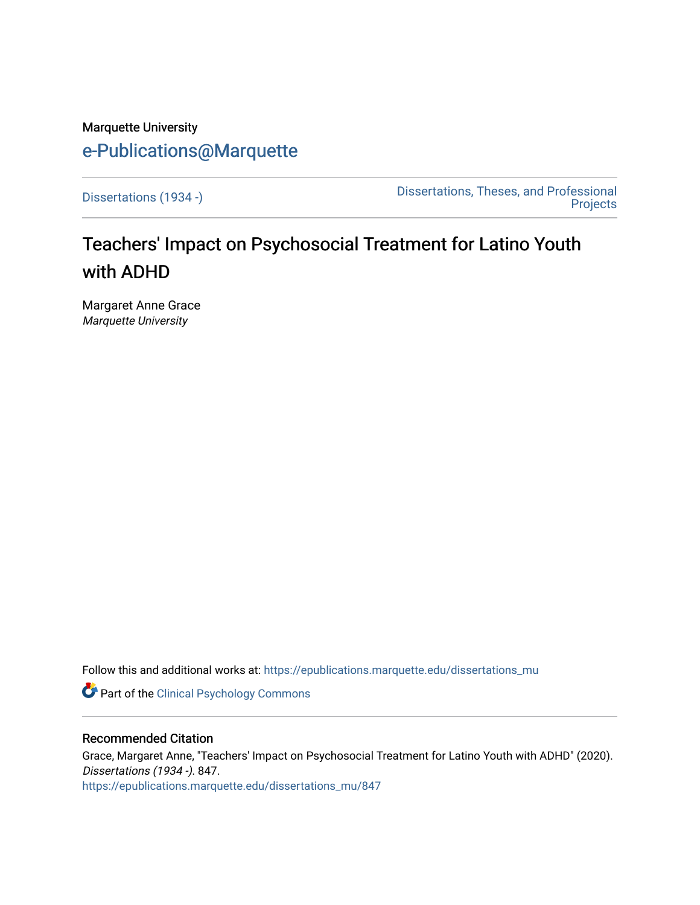# Marquette University [e-Publications@Marquette](https://epublications.marquette.edu/)

[Dissertations \(1934 -\)](https://epublications.marquette.edu/dissertations_mu) [Dissertations, Theses, and Professional](https://epublications.marquette.edu/diss_theses)  **Projects** 

# Teachers' Impact on Psychosocial Treatment for Latino Youth with ADHD

Margaret Anne Grace Marquette University

Follow this and additional works at: [https://epublications.marquette.edu/dissertations\\_mu](https://epublications.marquette.edu/dissertations_mu?utm_source=epublications.marquette.edu%2Fdissertations_mu%2F847&utm_medium=PDF&utm_campaign=PDFCoverPages)

Part of the [Clinical Psychology Commons](http://network.bepress.com/hgg/discipline/406?utm_source=epublications.marquette.edu%2Fdissertations_mu%2F847&utm_medium=PDF&utm_campaign=PDFCoverPages) 

#### Recommended Citation

Grace, Margaret Anne, "Teachers' Impact on Psychosocial Treatment for Latino Youth with ADHD" (2020). Dissertations (1934 -). 847. [https://epublications.marquette.edu/dissertations\\_mu/847](https://epublications.marquette.edu/dissertations_mu/847?utm_source=epublications.marquette.edu%2Fdissertations_mu%2F847&utm_medium=PDF&utm_campaign=PDFCoverPages)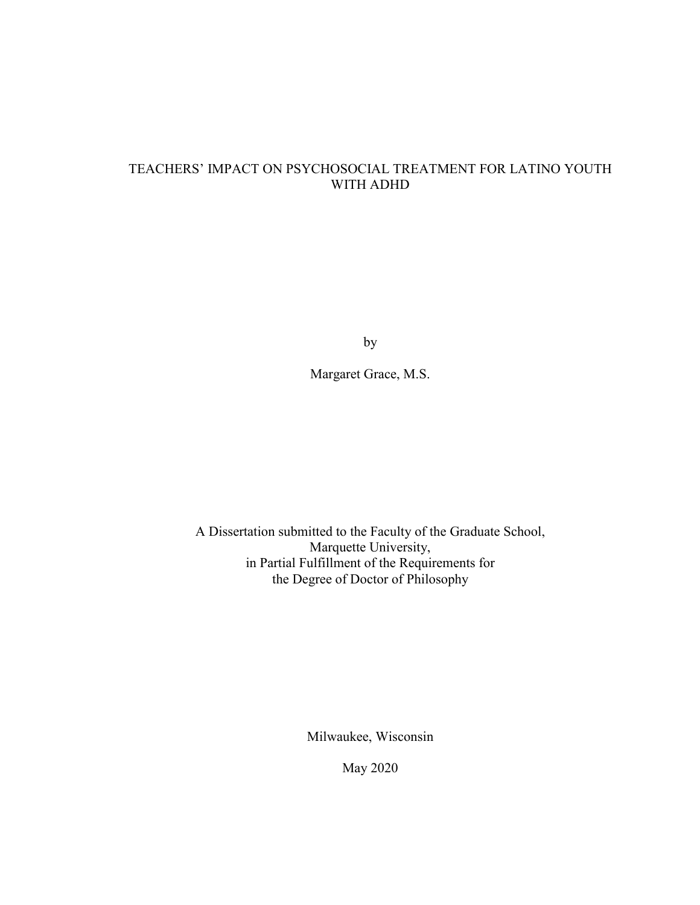## TEACHERS' IMPACT ON PSYCHOSOCIAL TREATMENT FOR LATINO YOUTH WITH ADHD

by

Margaret Grace, M.S.

A Dissertation submitted to the Faculty of the Graduate School, Marquette University, in Partial Fulfillment of the Requirements for the Degree of Doctor of Philosophy

Milwaukee, Wisconsin

May 2020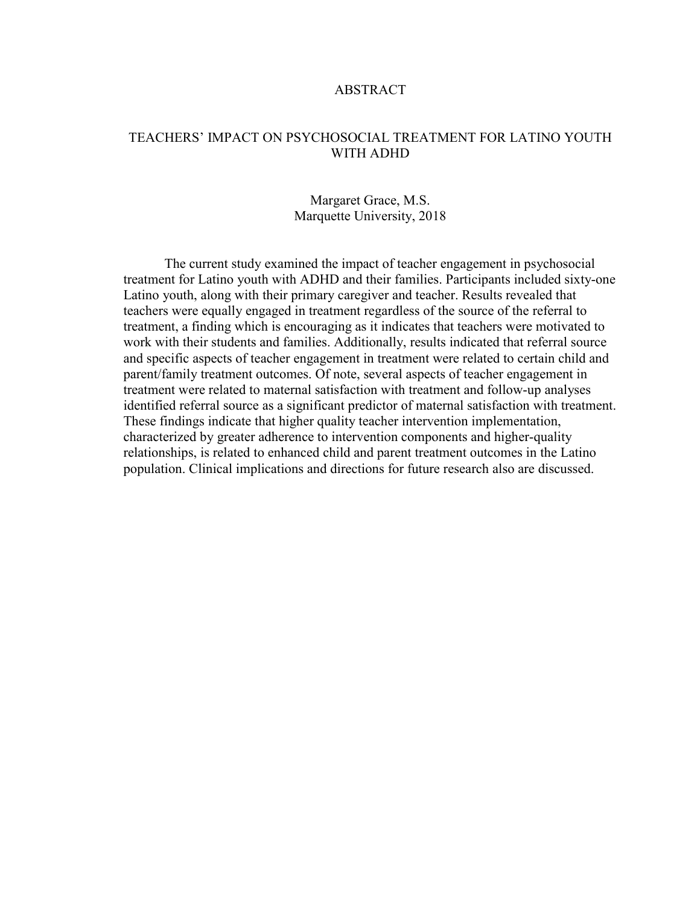## ABSTRACT

## TEACHERS' IMPACT ON PSYCHOSOCIAL TREATMENT FOR LATINO YOUTH WITH ADHD

## Margaret Grace, M.S. Marquette University, 2018

The current study examined the impact of teacher engagement in psychosocial treatment for Latino youth with ADHD and their families. Participants included sixty-one Latino youth, along with their primary caregiver and teacher. Results revealed that teachers were equally engaged in treatment regardless of the source of the referral to treatment, a finding which is encouraging as it indicates that teachers were motivated to work with their students and families. Additionally, results indicated that referral source and specific aspects of teacher engagement in treatment were related to certain child and parent/family treatment outcomes. Of note, several aspects of teacher engagement in treatment were related to maternal satisfaction with treatment and follow-up analyses identified referral source as a significant predictor of maternal satisfaction with treatment. These findings indicate that higher quality teacher intervention implementation, characterized by greater adherence to intervention components and higher-quality relationships, is related to enhanced child and parent treatment outcomes in the Latino population. Clinical implications and directions for future research also are discussed.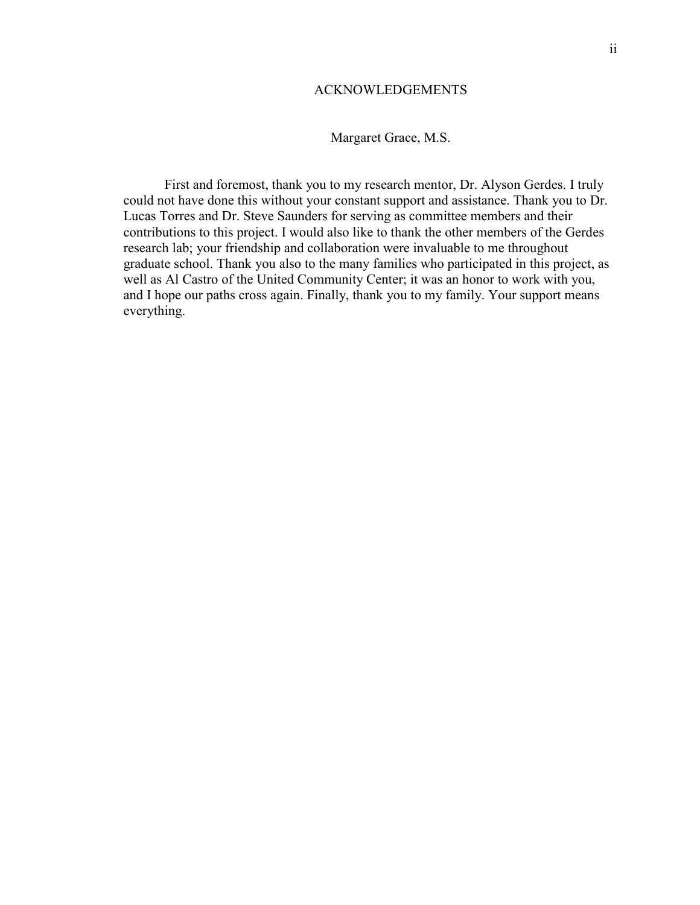### ACKNOWLEDGEMENTS

## Margaret Grace, M.S.

First and foremost, thank you to my research mentor, Dr. Alyson Gerdes. I truly could not have done this without your constant support and assistance. Thank you to Dr. Lucas Torres and Dr. Steve Saunders for serving as committee members and their contributions to this project. I would also like to thank the other members of the Gerdes research lab; your friendship and collaboration were invaluable to me throughout graduate school. Thank you also to the many families who participated in this project, as well as Al Castro of the United Community Center; it was an honor to work with you, and I hope our paths cross again. Finally, thank you to my family. Your support means everything.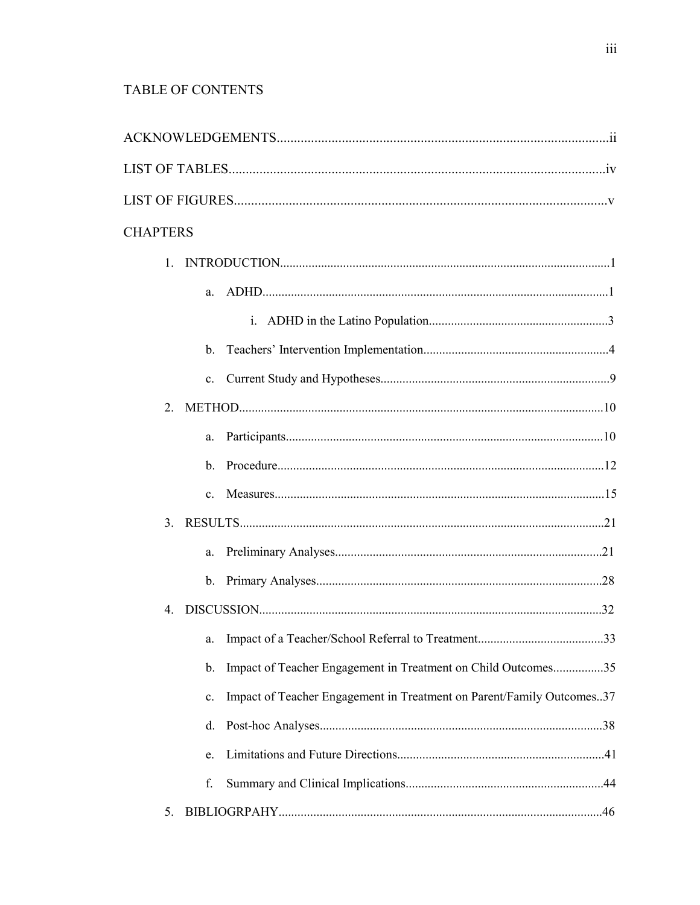# TABLE OF CONTENTS

| <b>CHAPTERS</b>                                                                         |  |
|-----------------------------------------------------------------------------------------|--|
| $\mathbf{1}$                                                                            |  |
| a.                                                                                      |  |
|                                                                                         |  |
|                                                                                         |  |
| $\mathbf{c}$ .                                                                          |  |
| $2_{-}$                                                                                 |  |
| a.                                                                                      |  |
| $b_{-}$                                                                                 |  |
| $\mathbf{c}$ .                                                                          |  |
|                                                                                         |  |
| a.                                                                                      |  |
|                                                                                         |  |
| $4_{\cdot}$                                                                             |  |
|                                                                                         |  |
| Impact of Teacher Engagement in Treatment on Child Outcomes35<br>b.                     |  |
| Impact of Teacher Engagement in Treatment on Parent/Family Outcomes37<br>$\mathbf{c}$ . |  |
| d.                                                                                      |  |
| e.                                                                                      |  |
| f.                                                                                      |  |
| 5.                                                                                      |  |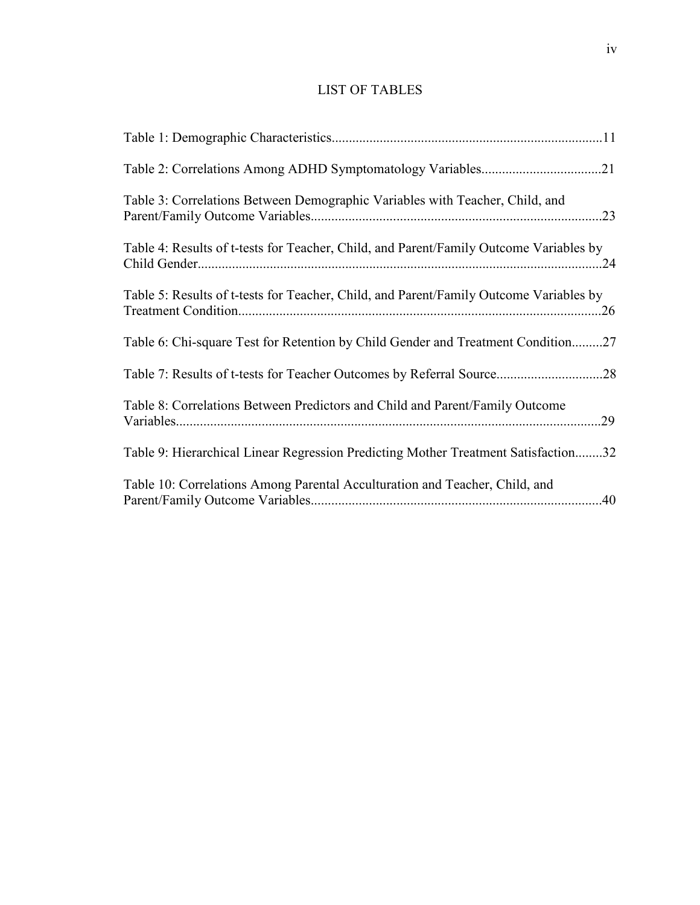# LIST OF TABLES

| Table 3: Correlations Between Demographic Variables with Teacher, Child, and           |
|----------------------------------------------------------------------------------------|
| Table 4: Results of t-tests for Teacher, Child, and Parent/Family Outcome Variables by |
| Table 5: Results of t-tests for Teacher, Child, and Parent/Family Outcome Variables by |
| Table 6: Chi-square Test for Retention by Child Gender and Treatment Condition27       |
|                                                                                        |
| Table 8: Correlations Between Predictors and Child and Parent/Family Outcome<br>.29    |
| Table 9: Hierarchical Linear Regression Predicting Mother Treatment Satisfaction32     |
| Table 10: Correlations Among Parental Acculturation and Teacher, Child, and            |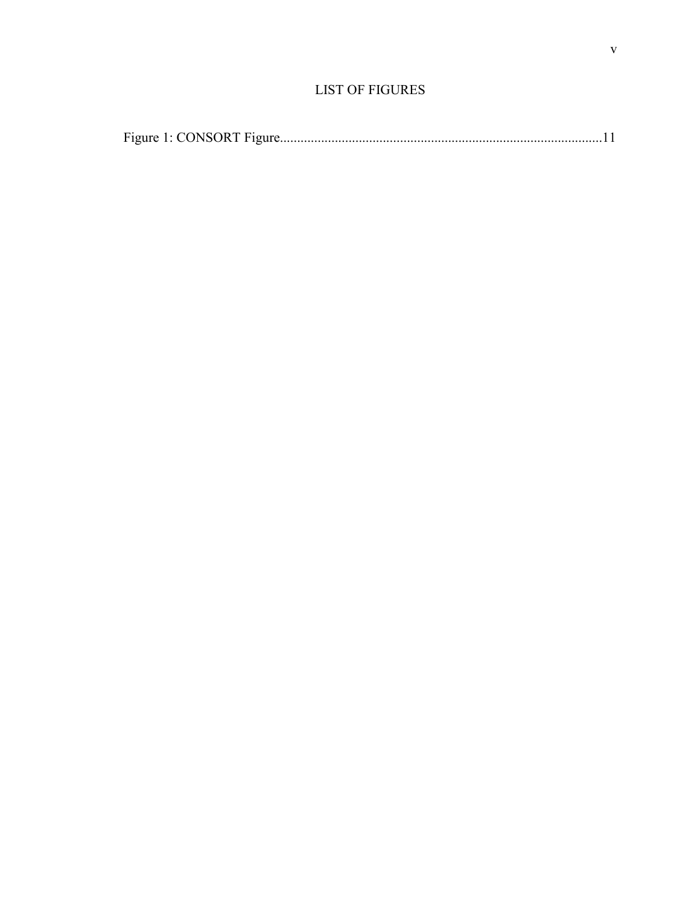|--|--|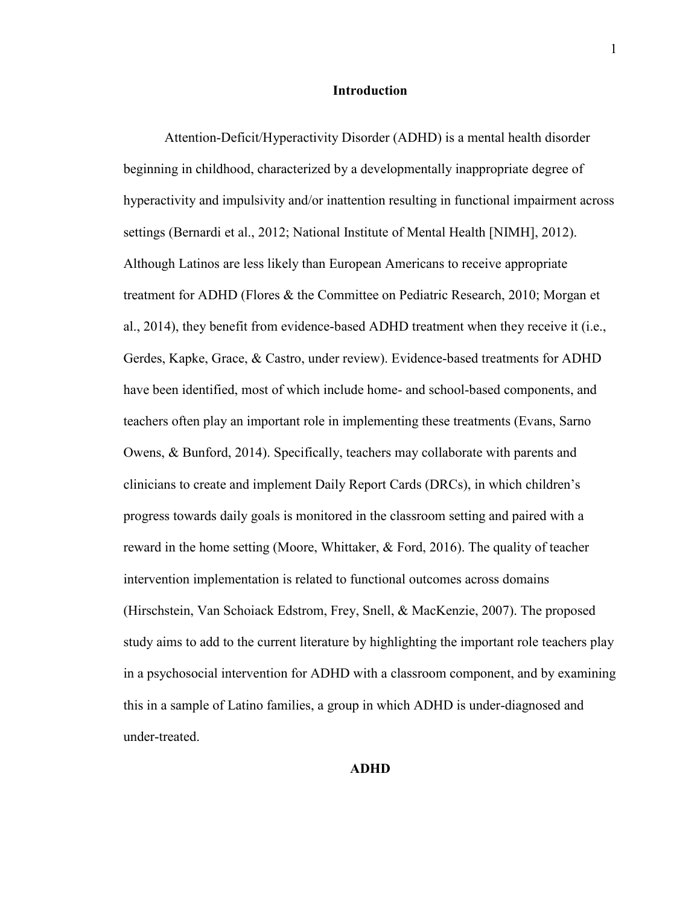#### **Introduction**

Attention-Deficit/Hyperactivity Disorder (ADHD) is a mental health disorder beginning in childhood, characterized by a developmentally inappropriate degree of hyperactivity and impulsivity and/or inattention resulting in functional impairment across settings (Bernardi et al., 2012; National Institute of Mental Health [NIMH], 2012). Although Latinos are less likely than European Americans to receive appropriate treatment for ADHD (Flores & the Committee on Pediatric Research, 2010; Morgan et al., 2014), they benefit from evidence-based ADHD treatment when they receive it (i.e., Gerdes, Kapke, Grace, & Castro, under review). Evidence-based treatments for ADHD have been identified, most of which include home- and school-based components, and teachers often play an important role in implementing these treatments (Evans, Sarno Owens, & Bunford, 2014). Specifically, teachers may collaborate with parents and clinicians to create and implement Daily Report Cards (DRCs), in which children's progress towards daily goals is monitored in the classroom setting and paired with a reward in the home setting (Moore, Whittaker, & Ford, 2016). The quality of teacher intervention implementation is related to functional outcomes across domains (Hirschstein, Van Schoiack Edstrom, Frey, Snell, & MacKenzie, 2007). The proposed study aims to add to the current literature by highlighting the important role teachers play in a psychosocial intervention for ADHD with a classroom component, and by examining this in a sample of Latino families, a group in which ADHD is under-diagnosed and under-treated.

### **ADHD**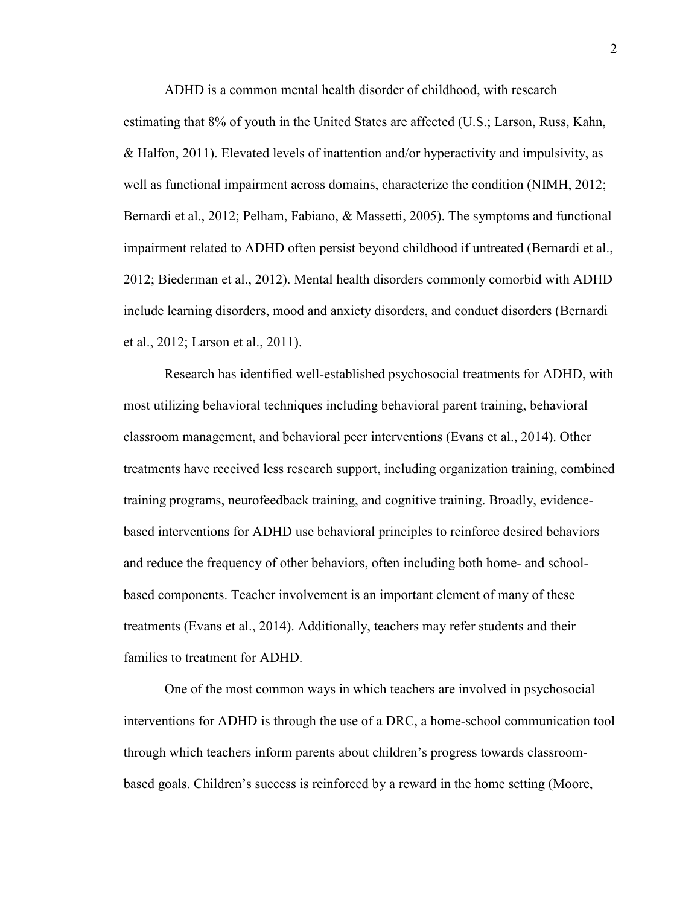ADHD is a common mental health disorder of childhood, with research estimating that 8% of youth in the United States are affected (U.S.; Larson, Russ, Kahn, & Halfon, 2011). Elevated levels of inattention and/or hyperactivity and impulsivity, as well as functional impairment across domains, characterize the condition (NIMH, 2012; Bernardi et al., 2012; Pelham, Fabiano, & Massetti, 2005). The symptoms and functional impairment related to ADHD often persist beyond childhood if untreated (Bernardi et al., 2012; Biederman et al., 2012). Mental health disorders commonly comorbid with ADHD include learning disorders, mood and anxiety disorders, and conduct disorders (Bernardi et al., 2012; Larson et al., 2011).

Research has identified well-established psychosocial treatments for ADHD, with most utilizing behavioral techniques including behavioral parent training, behavioral classroom management, and behavioral peer interventions (Evans et al., 2014). Other treatments have received less research support, including organization training, combined training programs, neurofeedback training, and cognitive training. Broadly, evidencebased interventions for ADHD use behavioral principles to reinforce desired behaviors and reduce the frequency of other behaviors, often including both home- and schoolbased components. Teacher involvement is an important element of many of these treatments (Evans et al., 2014). Additionally, teachers may refer students and their families to treatment for ADHD.

 One of the most common ways in which teachers are involved in psychosocial interventions for ADHD is through the use of a DRC, a home-school communication tool through which teachers inform parents about children's progress towards classroombased goals. Children's success is reinforced by a reward in the home setting (Moore,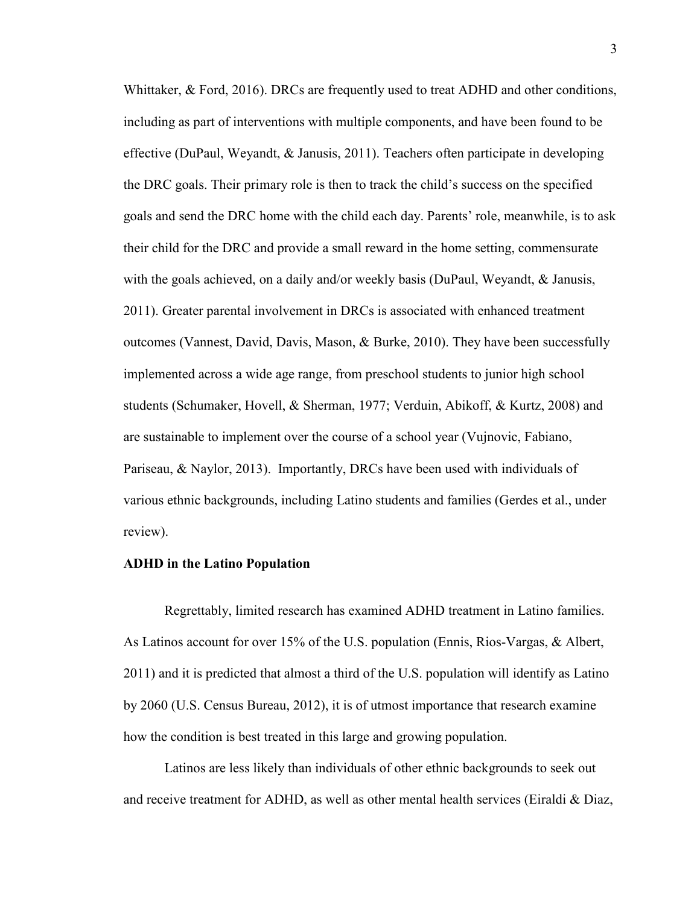Whittaker, & Ford, 2016). DRCs are frequently used to treat ADHD and other conditions, including as part of interventions with multiple components, and have been found to be effective (DuPaul, Weyandt, & Janusis, 2011). Teachers often participate in developing the DRC goals. Their primary role is then to track the child's success on the specified goals and send the DRC home with the child each day. Parents' role, meanwhile, is to ask their child for the DRC and provide a small reward in the home setting, commensurate with the goals achieved, on a daily and/or weekly basis (DuPaul, Weyandt, & Janusis, 2011). Greater parental involvement in DRCs is associated with enhanced treatment outcomes (Vannest, David, Davis, Mason, & Burke, 2010). They have been successfully implemented across a wide age range, from preschool students to junior high school students (Schumaker, Hovell, & Sherman, 1977; Verduin, Abikoff, & Kurtz, 2008) and are sustainable to implement over the course of a school year (Vujnovic, Fabiano, Pariseau, & Naylor, 2013). Importantly, DRCs have been used with individuals of various ethnic backgrounds, including Latino students and families (Gerdes et al., under review).

#### **ADHD in the Latino Population**

 Regrettably, limited research has examined ADHD treatment in Latino families. As Latinos account for over 15% of the U.S. population (Ennis, Rios-Vargas, & Albert, 2011) and it is predicted that almost a third of the U.S. population will identify as Latino by 2060 (U.S. Census Bureau, 2012), it is of utmost importance that research examine how the condition is best treated in this large and growing population.

Latinos are less likely than individuals of other ethnic backgrounds to seek out and receive treatment for ADHD, as well as other mental health services (Eiraldi  $\&$  Diaz,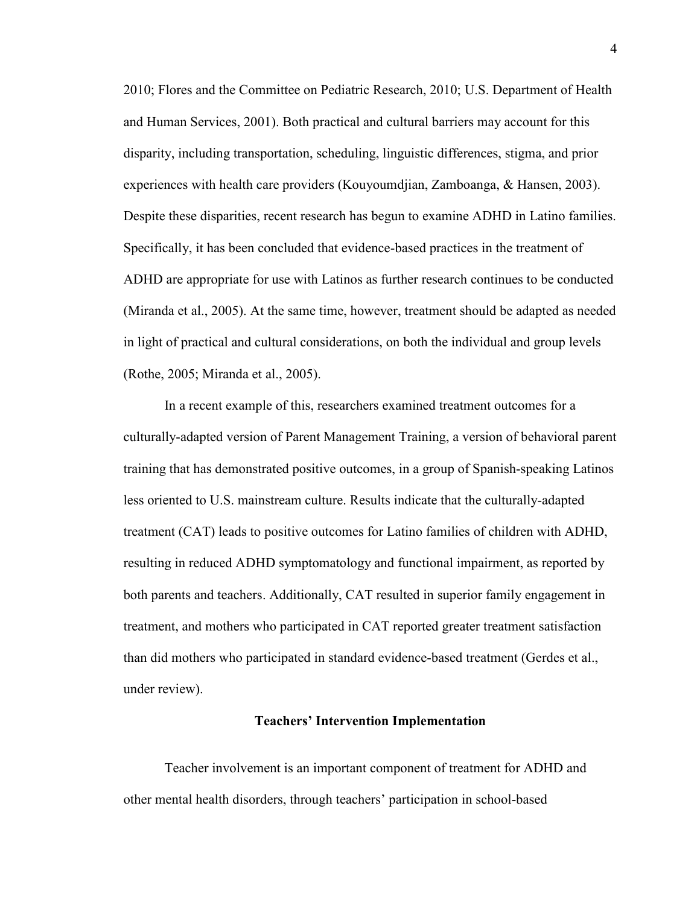2010; Flores and the Committee on Pediatric Research, 2010; U.S. Department of Health and Human Services, 2001). Both practical and cultural barriers may account for this disparity, including transportation, scheduling, linguistic differences, stigma, and prior experiences with health care providers (Kouyoumdjian, Zamboanga, & Hansen, 2003). Despite these disparities, recent research has begun to examine ADHD in Latino families. Specifically, it has been concluded that evidence-based practices in the treatment of ADHD are appropriate for use with Latinos as further research continues to be conducted (Miranda et al., 2005). At the same time, however, treatment should be adapted as needed in light of practical and cultural considerations, on both the individual and group levels (Rothe, 2005; Miranda et al., 2005).

In a recent example of this, researchers examined treatment outcomes for a culturally-adapted version of Parent Management Training, a version of behavioral parent training that has demonstrated positive outcomes, in a group of Spanish-speaking Latinos less oriented to U.S. mainstream culture. Results indicate that the culturally-adapted treatment (CAT) leads to positive outcomes for Latino families of children with ADHD, resulting in reduced ADHD symptomatology and functional impairment, as reported by both parents and teachers. Additionally, CAT resulted in superior family engagement in treatment, and mothers who participated in CAT reported greater treatment satisfaction than did mothers who participated in standard evidence-based treatment (Gerdes et al., under review).

#### **Teachers' Intervention Implementation**

Teacher involvement is an important component of treatment for ADHD and other mental health disorders, through teachers' participation in school-based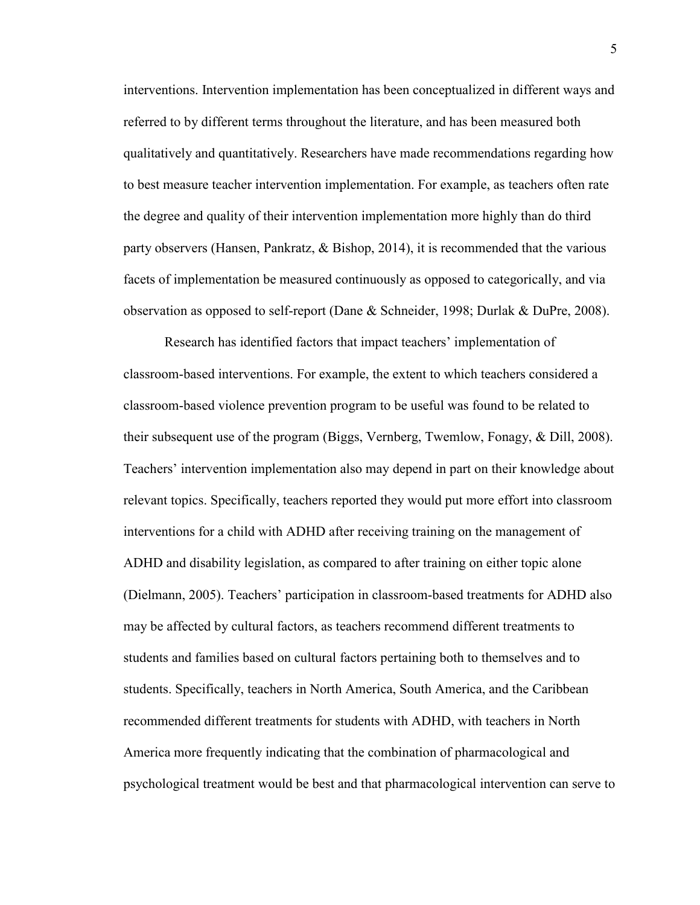interventions. Intervention implementation has been conceptualized in different ways and referred to by different terms throughout the literature, and has been measured both qualitatively and quantitatively. Researchers have made recommendations regarding how to best measure teacher intervention implementation. For example, as teachers often rate the degree and quality of their intervention implementation more highly than do third party observers (Hansen, Pankratz, & Bishop, 2014), it is recommended that the various facets of implementation be measured continuously as opposed to categorically, and via observation as opposed to self-report (Dane & Schneider, 1998; Durlak & DuPre, 2008).

Research has identified factors that impact teachers' implementation of classroom-based interventions. For example, the extent to which teachers considered a classroom-based violence prevention program to be useful was found to be related to their subsequent use of the program (Biggs, Vernberg, Twemlow, Fonagy, & Dill, 2008). Teachers' intervention implementation also may depend in part on their knowledge about relevant topics. Specifically, teachers reported they would put more effort into classroom interventions for a child with ADHD after receiving training on the management of ADHD and disability legislation, as compared to after training on either topic alone (Dielmann, 2005). Teachers' participation in classroom-based treatments for ADHD also may be affected by cultural factors, as teachers recommend different treatments to students and families based on cultural factors pertaining both to themselves and to students. Specifically, teachers in North America, South America, and the Caribbean recommended different treatments for students with ADHD, with teachers in North America more frequently indicating that the combination of pharmacological and psychological treatment would be best and that pharmacological intervention can serve to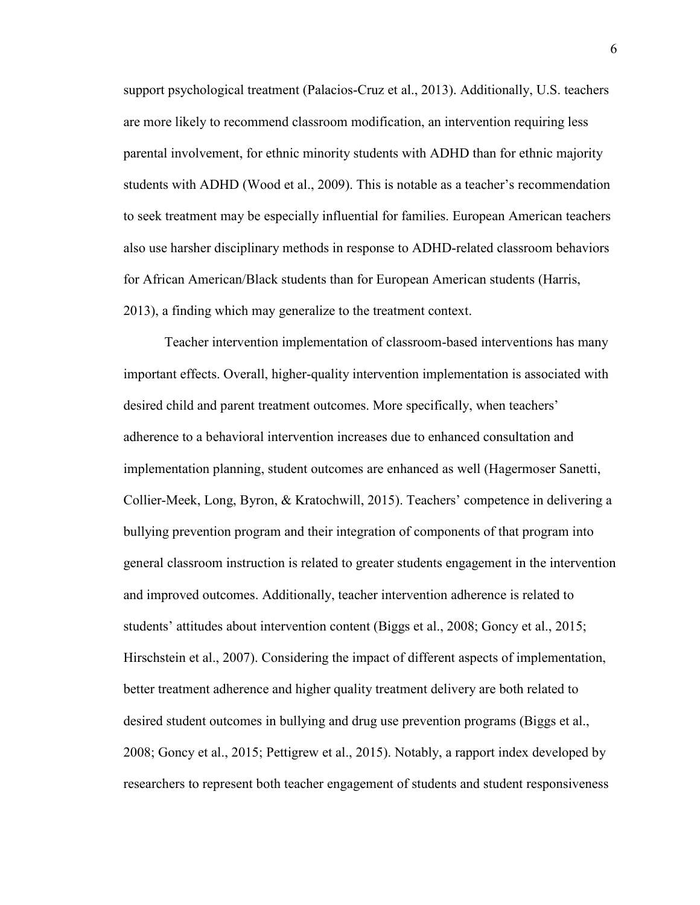support psychological treatment (Palacios-Cruz et al., 2013). Additionally, U.S. teachers are more likely to recommend classroom modification, an intervention requiring less parental involvement, for ethnic minority students with ADHD than for ethnic majority students with ADHD (Wood et al., 2009). This is notable as a teacher's recommendation to seek treatment may be especially influential for families. European American teachers also use harsher disciplinary methods in response to ADHD-related classroom behaviors for African American/Black students than for European American students (Harris, 2013), a finding which may generalize to the treatment context.

Teacher intervention implementation of classroom-based interventions has many important effects. Overall, higher-quality intervention implementation is associated with desired child and parent treatment outcomes. More specifically, when teachers' adherence to a behavioral intervention increases due to enhanced consultation and implementation planning, student outcomes are enhanced as well (Hagermoser Sanetti, Collier-Meek, Long, Byron, & Kratochwill, 2015). Teachers' competence in delivering a bullying prevention program and their integration of components of that program into general classroom instruction is related to greater students engagement in the intervention and improved outcomes. Additionally, teacher intervention adherence is related to students' attitudes about intervention content (Biggs et al., 2008; Goncy et al., 2015; Hirschstein et al., 2007). Considering the impact of different aspects of implementation, better treatment adherence and higher quality treatment delivery are both related to desired student outcomes in bullying and drug use prevention programs (Biggs et al., 2008; Goncy et al., 2015; Pettigrew et al., 2015). Notably, a rapport index developed by researchers to represent both teacher engagement of students and student responsiveness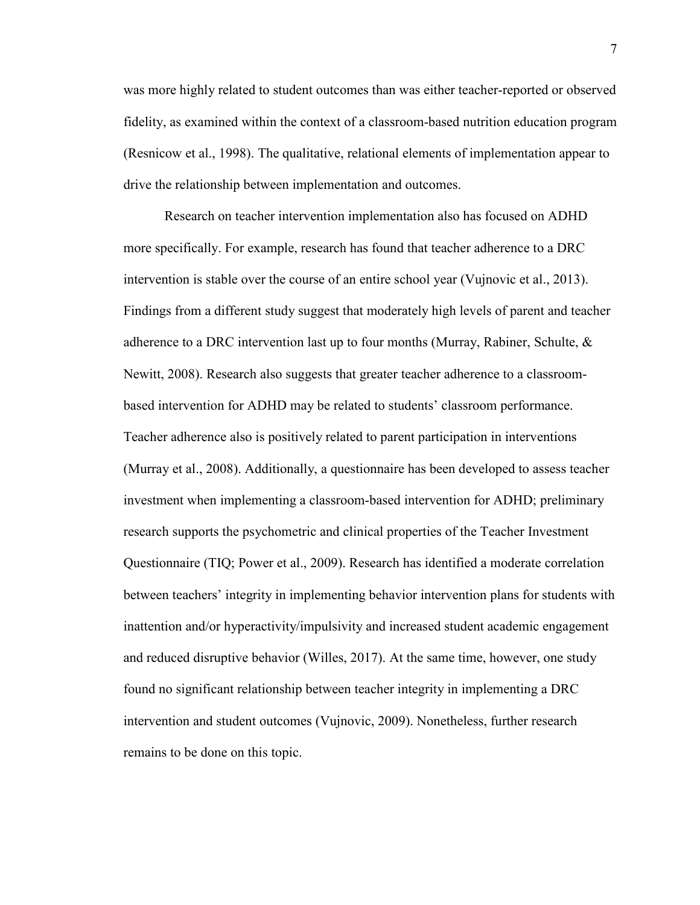was more highly related to student outcomes than was either teacher-reported or observed fidelity, as examined within the context of a classroom-based nutrition education program (Resnicow et al., 1998). The qualitative, relational elements of implementation appear to drive the relationship between implementation and outcomes.

Research on teacher intervention implementation also has focused on ADHD more specifically. For example, research has found that teacher adherence to a DRC intervention is stable over the course of an entire school year (Vujnovic et al., 2013). Findings from a different study suggest that moderately high levels of parent and teacher adherence to a DRC intervention last up to four months (Murray, Rabiner, Schulte, & Newitt, 2008). Research also suggests that greater teacher adherence to a classroombased intervention for ADHD may be related to students' classroom performance. Teacher adherence also is positively related to parent participation in interventions (Murray et al., 2008). Additionally, a questionnaire has been developed to assess teacher investment when implementing a classroom-based intervention for ADHD; preliminary research supports the psychometric and clinical properties of the Teacher Investment Questionnaire (TIQ; Power et al., 2009). Research has identified a moderate correlation between teachers' integrity in implementing behavior intervention plans for students with inattention and/or hyperactivity/impulsivity and increased student academic engagement and reduced disruptive behavior (Willes, 2017). At the same time, however, one study found no significant relationship between teacher integrity in implementing a DRC intervention and student outcomes (Vujnovic, 2009). Nonetheless, further research remains to be done on this topic.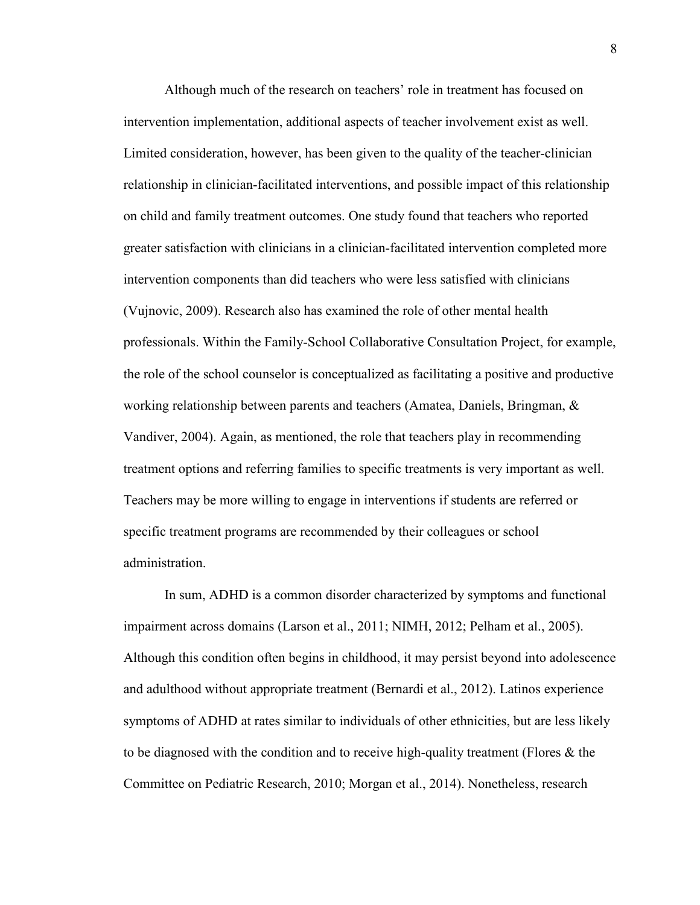Although much of the research on teachers' role in treatment has focused on intervention implementation, additional aspects of teacher involvement exist as well. Limited consideration, however, has been given to the quality of the teacher-clinician relationship in clinician-facilitated interventions, and possible impact of this relationship on child and family treatment outcomes. One study found that teachers who reported greater satisfaction with clinicians in a clinician-facilitated intervention completed more intervention components than did teachers who were less satisfied with clinicians (Vujnovic, 2009). Research also has examined the role of other mental health professionals. Within the Family-School Collaborative Consultation Project, for example, the role of the school counselor is conceptualized as facilitating a positive and productive working relationship between parents and teachers (Amatea, Daniels, Bringman, & Vandiver, 2004). Again, as mentioned, the role that teachers play in recommending treatment options and referring families to specific treatments is very important as well. Teachers may be more willing to engage in interventions if students are referred or specific treatment programs are recommended by their colleagues or school administration.

In sum, ADHD is a common disorder characterized by symptoms and functional impairment across domains (Larson et al., 2011; NIMH, 2012; Pelham et al., 2005). Although this condition often begins in childhood, it may persist beyond into adolescence and adulthood without appropriate treatment (Bernardi et al., 2012). Latinos experience symptoms of ADHD at rates similar to individuals of other ethnicities, but are less likely to be diagnosed with the condition and to receive high-quality treatment (Flores  $\&$  the Committee on Pediatric Research, 2010; Morgan et al., 2014). Nonetheless, research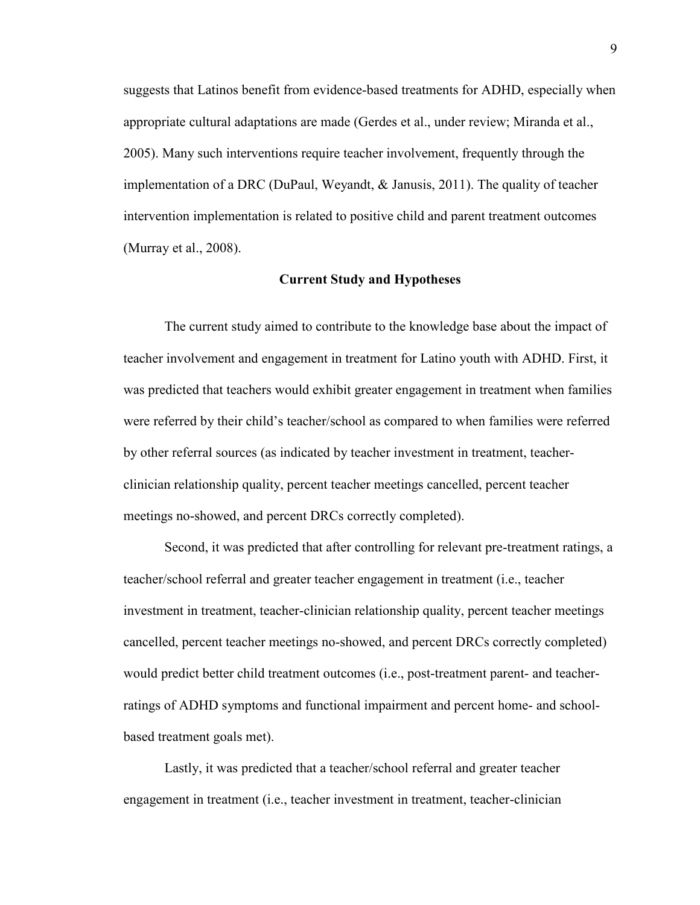suggests that Latinos benefit from evidence-based treatments for ADHD, especially when appropriate cultural adaptations are made (Gerdes et al., under review; Miranda et al., 2005). Many such interventions require teacher involvement, frequently through the implementation of a DRC (DuPaul, Weyandt, & Janusis, 2011). The quality of teacher intervention implementation is related to positive child and parent treatment outcomes (Murray et al., 2008).

#### **Current Study and Hypotheses**

The current study aimed to contribute to the knowledge base about the impact of teacher involvement and engagement in treatment for Latino youth with ADHD. First, it was predicted that teachers would exhibit greater engagement in treatment when families were referred by their child's teacher/school as compared to when families were referred by other referral sources (as indicated by teacher investment in treatment, teacherclinician relationship quality, percent teacher meetings cancelled, percent teacher meetings no-showed, and percent DRCs correctly completed).

Second, it was predicted that after controlling for relevant pre-treatment ratings, a teacher/school referral and greater teacher engagement in treatment (i.e., teacher investment in treatment, teacher-clinician relationship quality, percent teacher meetings cancelled, percent teacher meetings no-showed, and percent DRCs correctly completed) would predict better child treatment outcomes (i.e., post-treatment parent- and teacherratings of ADHD symptoms and functional impairment and percent home- and schoolbased treatment goals met).

Lastly, it was predicted that a teacher/school referral and greater teacher engagement in treatment (i.e., teacher investment in treatment, teacher-clinician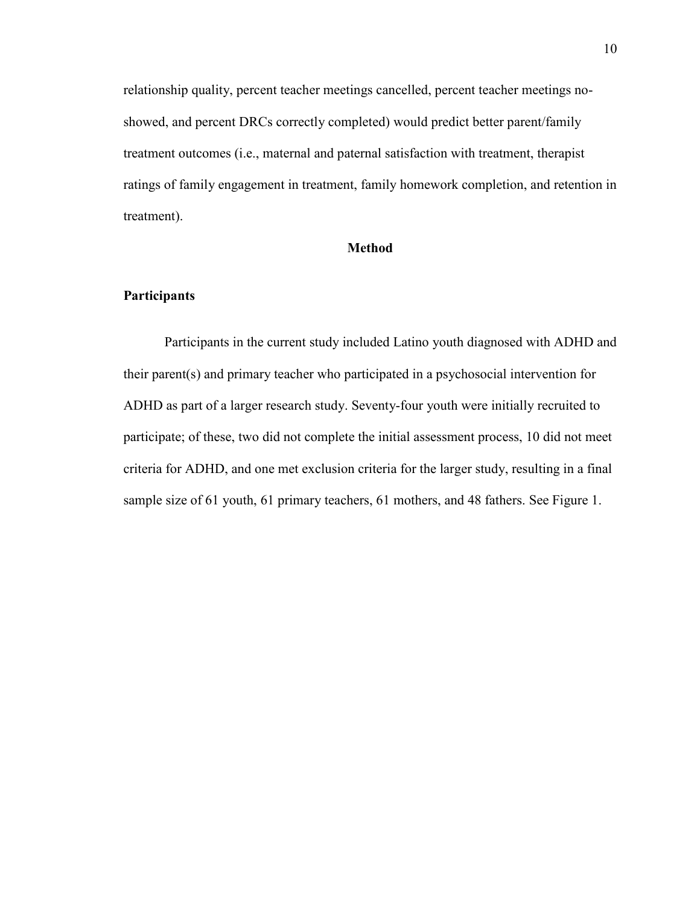relationship quality, percent teacher meetings cancelled, percent teacher meetings noshowed, and percent DRCs correctly completed) would predict better parent/family treatment outcomes (i.e., maternal and paternal satisfaction with treatment, therapist ratings of family engagement in treatment, family homework completion, and retention in treatment).

## **Method**

## **Participants**

 Participants in the current study included Latino youth diagnosed with ADHD and their parent(s) and primary teacher who participated in a psychosocial intervention for ADHD as part of a larger research study. Seventy-four youth were initially recruited to participate; of these, two did not complete the initial assessment process, 10 did not meet criteria for ADHD, and one met exclusion criteria for the larger study, resulting in a final sample size of 61 youth, 61 primary teachers, 61 mothers, and 48 fathers. See Figure 1.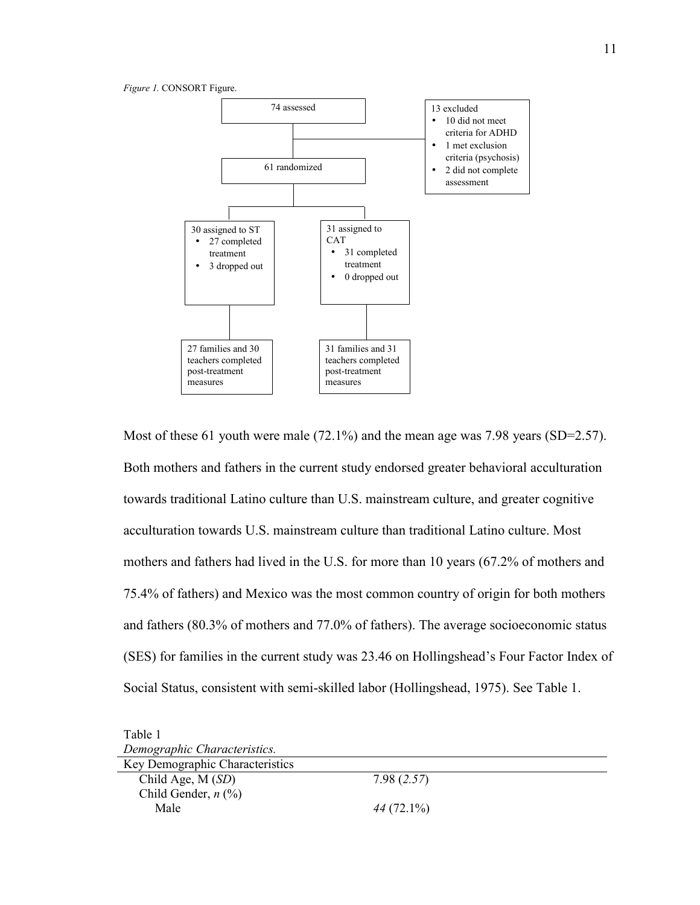



Most of these 61 youth were male (72.1%) and the mean age was 7.98 years (SD=2.57). Both mothers and fathers in the current study endorsed greater behavioral acculturation towards traditional Latino culture than U.S. mainstream culture, and greater cognitive acculturation towards U.S. mainstream culture than traditional Latino culture. Most mothers and fathers had lived in the U.S. for more than 10 years (67.2% of mothers and 75.4% of fathers) and Mexico was the most common country of origin for both mothers and fathers (80.3% of mothers and 77.0% of fathers). The average socioeconomic status (SES) for families in the current study was 23.46 on Hollingshead's Four Factor Index of Social Status, consistent with semi-skilled labor (Hollingshead, 1975). See Table 1.

| Table 1                                      |              |  |
|----------------------------------------------|--------------|--|
| Demographic Characteristics.                 |              |  |
| Key Demographic Characteristics              |              |  |
| Child Age, $M(SD)$                           | 7.98(2.57)   |  |
| Child Gender, $n$ $\left(\frac{9}{6}\right)$ |              |  |
| Male                                         | $44(72.1\%)$ |  |
|                                              |              |  |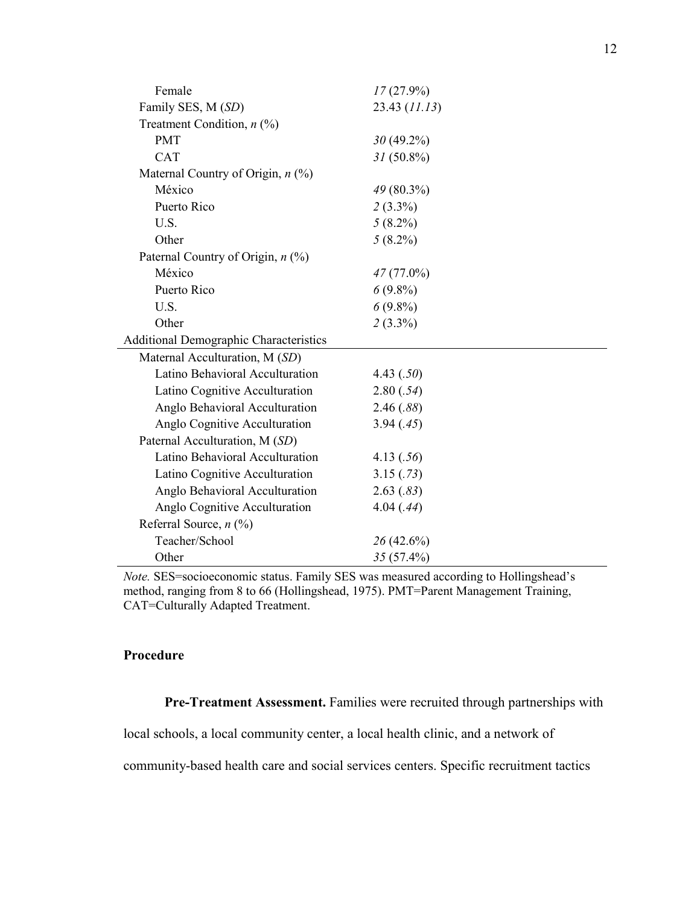| Female                                        | $17(27.9\%)$  |
|-----------------------------------------------|---------------|
| Family SES, M (SD)                            | 23.43 (11.13) |
| Treatment Condition, $n$ (%)                  |               |
| <b>PMT</b>                                    | $30(49.2\%)$  |
| <b>CAT</b>                                    | $31(50.8\%)$  |
| Maternal Country of Origin, $n$ (%)           |               |
| México                                        | 49 (80.3%)    |
| Puerto Rico                                   | $2(3.3\%)$    |
| U.S.                                          | $5(8.2\%)$    |
| Other                                         | $5(8.2\%)$    |
| Paternal Country of Origin, n (%)             |               |
| México                                        | $47(77.0\%)$  |
| Puerto Rico                                   | $6(9.8\%)$    |
| U.S.                                          | $6(9.8\%)$    |
| Other                                         | $2(3.3\%)$    |
| <b>Additional Demographic Characteristics</b> |               |
| Maternal Acculturation, M (SD)                |               |
| Latino Behavioral Acculturation               | 4.43 $(.50)$  |
| Latino Cognitive Acculturation                | 2.80(.54)     |
| Anglo Behavioral Acculturation                | 2.46(.88)     |
| Anglo Cognitive Acculturation                 | 3.94(.45)     |
| Paternal Acculturation, M (SD)                |               |
| Latino Behavioral Acculturation               | 4.13(.56)     |
| Latino Cognitive Acculturation                | 3.15(.73)     |
| Anglo Behavioral Acculturation                | 2.63(.83)     |
| Anglo Cognitive Acculturation                 | 4.04(.44)     |
| Referral Source, $n$ (%)                      |               |
| Teacher/School                                | $26(42.6\%)$  |
| Other                                         | $35(57.4\%)$  |

*Note.* SES=socioeconomic status. Family SES was measured according to Hollingshead's method, ranging from 8 to 66 (Hollingshead, 1975). PMT=Parent Management Training, CAT=Culturally Adapted Treatment.

## **Procedure**

**Pre-Treatment Assessment.** Families were recruited through partnerships with

local schools, a local community center, a local health clinic, and a network of

community-based health care and social services centers. Specific recruitment tactics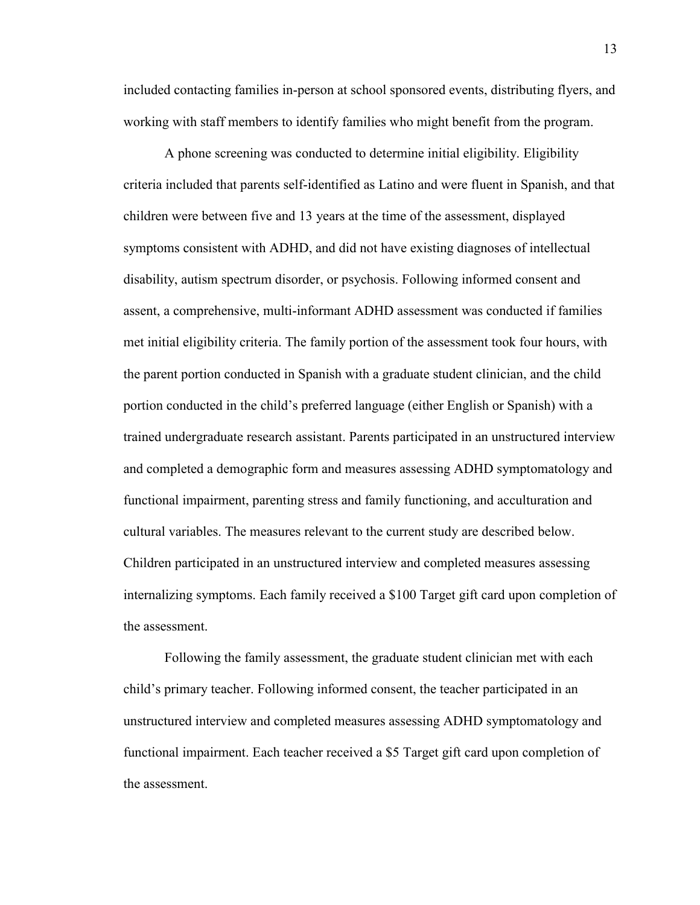included contacting families in-person at school sponsored events, distributing flyers, and working with staff members to identify families who might benefit from the program.

A phone screening was conducted to determine initial eligibility. Eligibility criteria included that parents self-identified as Latino and were fluent in Spanish, and that children were between five and 13 years at the time of the assessment, displayed symptoms consistent with ADHD, and did not have existing diagnoses of intellectual disability, autism spectrum disorder, or psychosis. Following informed consent and assent, a comprehensive, multi-informant ADHD assessment was conducted if families met initial eligibility criteria. The family portion of the assessment took four hours, with the parent portion conducted in Spanish with a graduate student clinician, and the child portion conducted in the child's preferred language (either English or Spanish) with a trained undergraduate research assistant. Parents participated in an unstructured interview and completed a demographic form and measures assessing ADHD symptomatology and functional impairment, parenting stress and family functioning, and acculturation and cultural variables. The measures relevant to the current study are described below. Children participated in an unstructured interview and completed measures assessing internalizing symptoms. Each family received a \$100 Target gift card upon completion of the assessment.

Following the family assessment, the graduate student clinician met with each child's primary teacher. Following informed consent, the teacher participated in an unstructured interview and completed measures assessing ADHD symptomatology and functional impairment. Each teacher received a \$5 Target gift card upon completion of the assessment.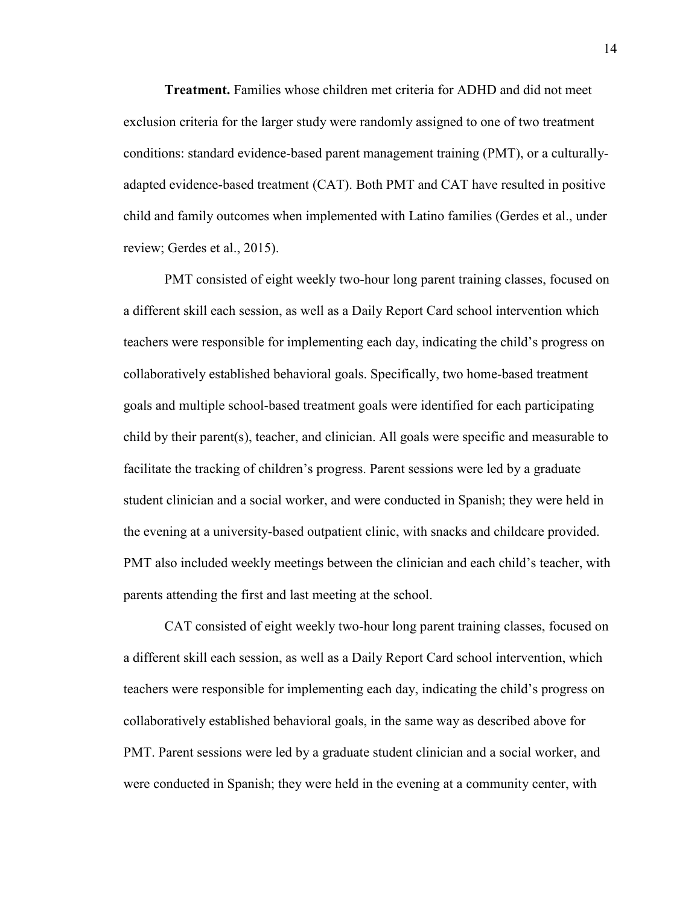**Treatment.** Families whose children met criteria for ADHD and did not meet exclusion criteria for the larger study were randomly assigned to one of two treatment conditions: standard evidence-based parent management training (PMT), or a culturallyadapted evidence-based treatment (CAT). Both PMT and CAT have resulted in positive child and family outcomes when implemented with Latino families (Gerdes et al., under review; Gerdes et al., 2015).

PMT consisted of eight weekly two-hour long parent training classes, focused on a different skill each session, as well as a Daily Report Card school intervention which teachers were responsible for implementing each day, indicating the child's progress on collaboratively established behavioral goals. Specifically, two home-based treatment goals and multiple school-based treatment goals were identified for each participating child by their parent(s), teacher, and clinician. All goals were specific and measurable to facilitate the tracking of children's progress. Parent sessions were led by a graduate student clinician and a social worker, and were conducted in Spanish; they were held in the evening at a university-based outpatient clinic, with snacks and childcare provided. PMT also included weekly meetings between the clinician and each child's teacher, with parents attending the first and last meeting at the school.

CAT consisted of eight weekly two-hour long parent training classes, focused on a different skill each session, as well as a Daily Report Card school intervention, which teachers were responsible for implementing each day, indicating the child's progress on collaboratively established behavioral goals, in the same way as described above for PMT. Parent sessions were led by a graduate student clinician and a social worker, and were conducted in Spanish; they were held in the evening at a community center, with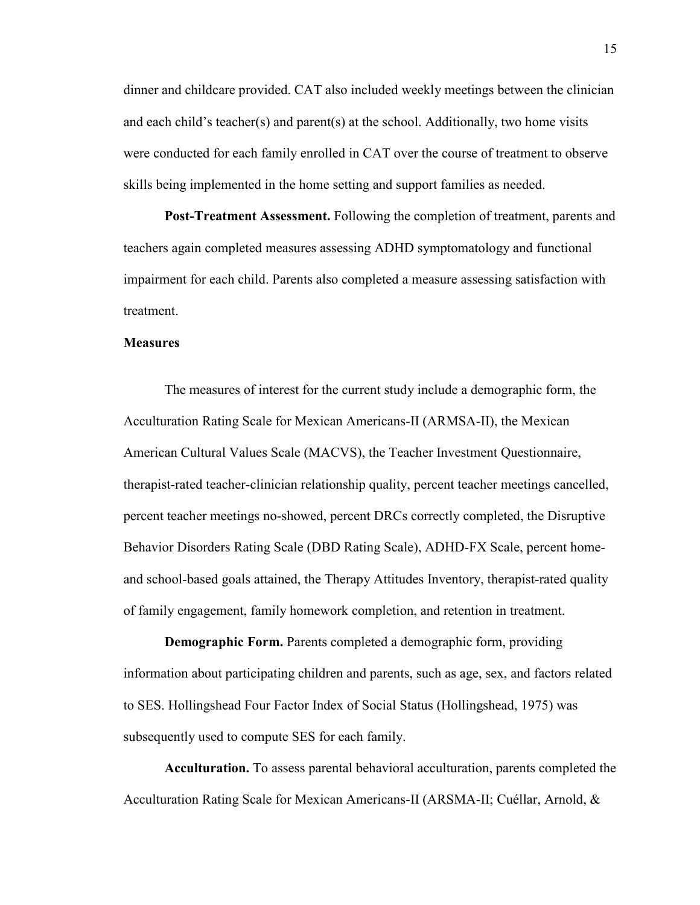dinner and childcare provided. CAT also included weekly meetings between the clinician and each child's teacher(s) and parent(s) at the school. Additionally, two home visits were conducted for each family enrolled in CAT over the course of treatment to observe skills being implemented in the home setting and support families as needed.

 **Post-Treatment Assessment.** Following the completion of treatment, parents and teachers again completed measures assessing ADHD symptomatology and functional impairment for each child. Parents also completed a measure assessing satisfaction with treatment.

#### **Measures**

The measures of interest for the current study include a demographic form, the Acculturation Rating Scale for Mexican Americans-II (ARMSA-II), the Mexican American Cultural Values Scale (MACVS), the Teacher Investment Questionnaire, therapist-rated teacher-clinician relationship quality, percent teacher meetings cancelled, percent teacher meetings no-showed, percent DRCs correctly completed, the Disruptive Behavior Disorders Rating Scale (DBD Rating Scale), ADHD-FX Scale, percent homeand school-based goals attained, the Therapy Attitudes Inventory, therapist-rated quality of family engagement, family homework completion, and retention in treatment.

**Demographic Form.** Parents completed a demographic form, providing information about participating children and parents, such as age, sex, and factors related to SES. Hollingshead Four Factor Index of Social Status (Hollingshead, 1975) was subsequently used to compute SES for each family.

**Acculturation.** To assess parental behavioral acculturation, parents completed the Acculturation Rating Scale for Mexican Americans-II (ARSMA-II; Cuéllar, Arnold, &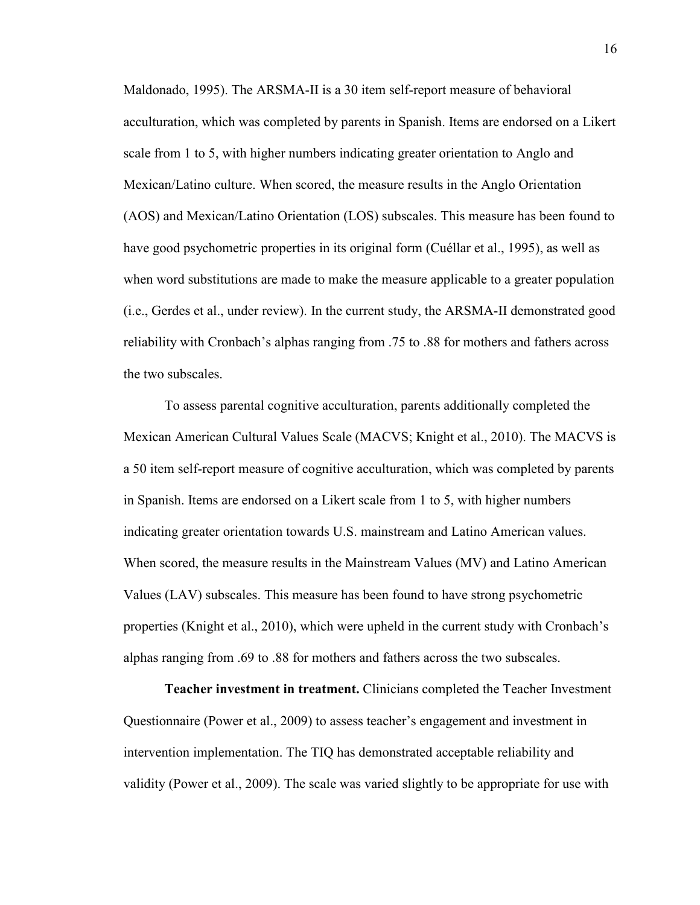Maldonado, 1995). The ARSMA-II is a 30 item self-report measure of behavioral acculturation, which was completed by parents in Spanish. Items are endorsed on a Likert scale from 1 to 5, with higher numbers indicating greater orientation to Anglo and Mexican/Latino culture. When scored, the measure results in the Anglo Orientation (AOS) and Mexican/Latino Orientation (LOS) subscales. This measure has been found to have good psychometric properties in its original form (Cuéllar et al., 1995), as well as when word substitutions are made to make the measure applicable to a greater population (i.e., Gerdes et al., under review). In the current study, the ARSMA-II demonstrated good reliability with Cronbach's alphas ranging from .75 to .88 for mothers and fathers across the two subscales.

To assess parental cognitive acculturation, parents additionally completed the Mexican American Cultural Values Scale (MACVS; Knight et al., 2010). The MACVS is a 50 item self-report measure of cognitive acculturation, which was completed by parents in Spanish. Items are endorsed on a Likert scale from 1 to 5, with higher numbers indicating greater orientation towards U.S. mainstream and Latino American values. When scored, the measure results in the Mainstream Values (MV) and Latino American Values (LAV) subscales. This measure has been found to have strong psychometric properties (Knight et al., 2010), which were upheld in the current study with Cronbach's alphas ranging from .69 to .88 for mothers and fathers across the two subscales.

**Teacher investment in treatment.** Clinicians completed the Teacher Investment Questionnaire (Power et al., 2009) to assess teacher's engagement and investment in intervention implementation. The TIQ has demonstrated acceptable reliability and validity (Power et al., 2009). The scale was varied slightly to be appropriate for use with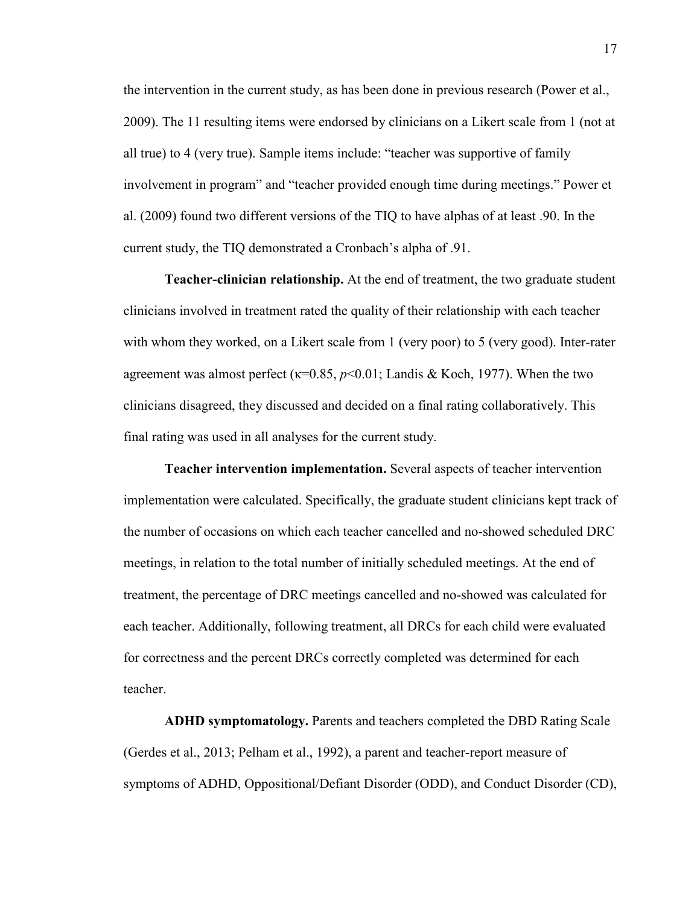the intervention in the current study, as has been done in previous research (Power et al., 2009). The 11 resulting items were endorsed by clinicians on a Likert scale from 1 (not at all true) to 4 (very true). Sample items include: "teacher was supportive of family involvement in program" and "teacher provided enough time during meetings." Power et al. (2009) found two different versions of the TIQ to have alphas of at least .90. In the current study, the TIQ demonstrated a Cronbach's alpha of .91.

**Teacher-clinician relationship.** At the end of treatment, the two graduate student clinicians involved in treatment rated the quality of their relationship with each teacher with whom they worked, on a Likert scale from 1 (very poor) to 5 (very good). Inter-rater agreement was almost perfect ( $\kappa$ =0.85,  $p$ <0.01; Landis & Koch, 1977). When the two clinicians disagreed, they discussed and decided on a final rating collaboratively. This final rating was used in all analyses for the current study.

**Teacher intervention implementation.** Several aspects of teacher intervention implementation were calculated. Specifically, the graduate student clinicians kept track of the number of occasions on which each teacher cancelled and no-showed scheduled DRC meetings, in relation to the total number of initially scheduled meetings. At the end of treatment, the percentage of DRC meetings cancelled and no-showed was calculated for each teacher. Additionally, following treatment, all DRCs for each child were evaluated for correctness and the percent DRCs correctly completed was determined for each teacher.

**ADHD symptomatology.** Parents and teachers completed the DBD Rating Scale (Gerdes et al., 2013; Pelham et al., 1992), a parent and teacher-report measure of symptoms of ADHD, Oppositional/Defiant Disorder (ODD), and Conduct Disorder (CD),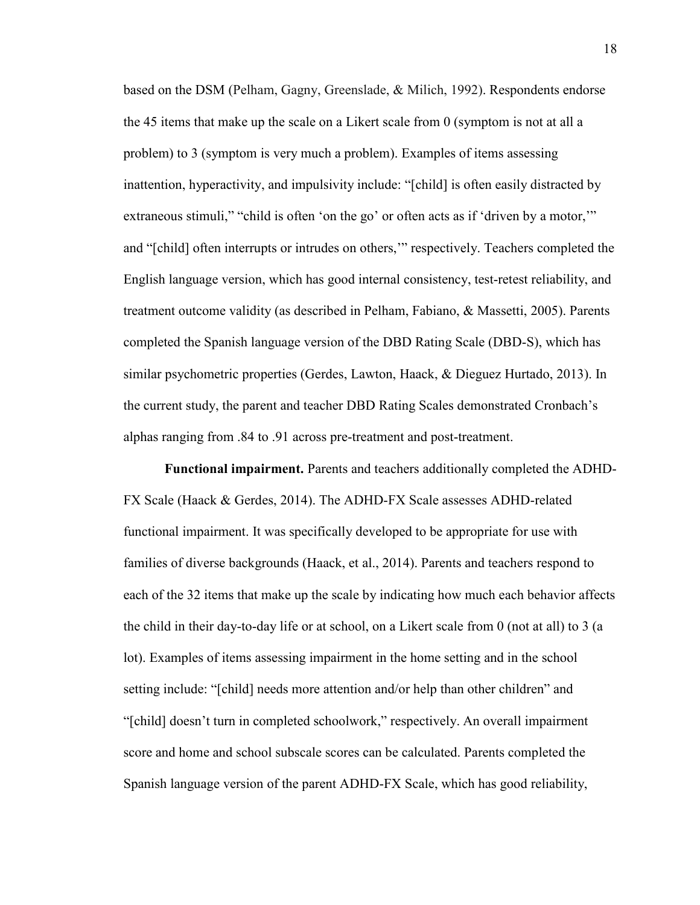based on the DSM (Pelham, Gagny, Greenslade, & Milich, 1992). Respondents endorse the 45 items that make up the scale on a Likert scale from 0 (symptom is not at all a problem) to 3 (symptom is very much a problem). Examples of items assessing inattention, hyperactivity, and impulsivity include: "[child] is often easily distracted by extraneous stimuli," "child is often 'on the go' or often acts as if 'driven by a motor," and "[child] often interrupts or intrudes on others,'" respectively. Teachers completed the English language version, which has good internal consistency, test-retest reliability, and treatment outcome validity (as described in Pelham, Fabiano, & Massetti, 2005). Parents completed the Spanish language version of the DBD Rating Scale (DBD-S), which has similar psychometric properties (Gerdes, Lawton, Haack, & Dieguez Hurtado, 2013). In the current study, the parent and teacher DBD Rating Scales demonstrated Cronbach's alphas ranging from .84 to .91 across pre-treatment and post-treatment.

**Functional impairment.** Parents and teachers additionally completed the ADHD-FX Scale (Haack & Gerdes, 2014). The ADHD-FX Scale assesses ADHD-related functional impairment. It was specifically developed to be appropriate for use with families of diverse backgrounds (Haack, et al., 2014). Parents and teachers respond to each of the 32 items that make up the scale by indicating how much each behavior affects the child in their day-to-day life or at school, on a Likert scale from 0 (not at all) to 3 (a lot). Examples of items assessing impairment in the home setting and in the school setting include: "[child] needs more attention and/or help than other children" and "[child] doesn't turn in completed schoolwork," respectively. An overall impairment score and home and school subscale scores can be calculated. Parents completed the Spanish language version of the parent ADHD-FX Scale, which has good reliability,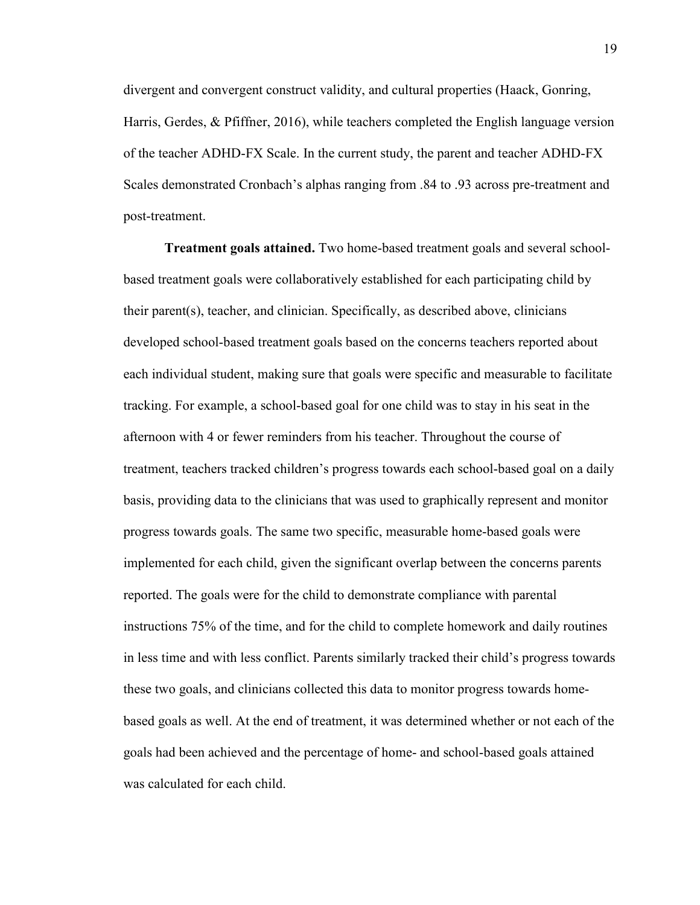divergent and convergent construct validity, and cultural properties (Haack, Gonring, Harris, Gerdes, & Pfiffner, 2016), while teachers completed the English language version of the teacher ADHD-FX Scale. In the current study, the parent and teacher ADHD-FX Scales demonstrated Cronbach's alphas ranging from .84 to .93 across pre-treatment and post-treatment.

**Treatment goals attained.** Two home-based treatment goals and several schoolbased treatment goals were collaboratively established for each participating child by their parent(s), teacher, and clinician. Specifically, as described above, clinicians developed school-based treatment goals based on the concerns teachers reported about each individual student, making sure that goals were specific and measurable to facilitate tracking. For example, a school-based goal for one child was to stay in his seat in the afternoon with 4 or fewer reminders from his teacher. Throughout the course of treatment, teachers tracked children's progress towards each school-based goal on a daily basis, providing data to the clinicians that was used to graphically represent and monitor progress towards goals. The same two specific, measurable home-based goals were implemented for each child, given the significant overlap between the concerns parents reported. The goals were for the child to demonstrate compliance with parental instructions 75% of the time, and for the child to complete homework and daily routines in less time and with less conflict. Parents similarly tracked their child's progress towards these two goals, and clinicians collected this data to monitor progress towards homebased goals as well. At the end of treatment, it was determined whether or not each of the goals had been achieved and the percentage of home- and school-based goals attained was calculated for each child.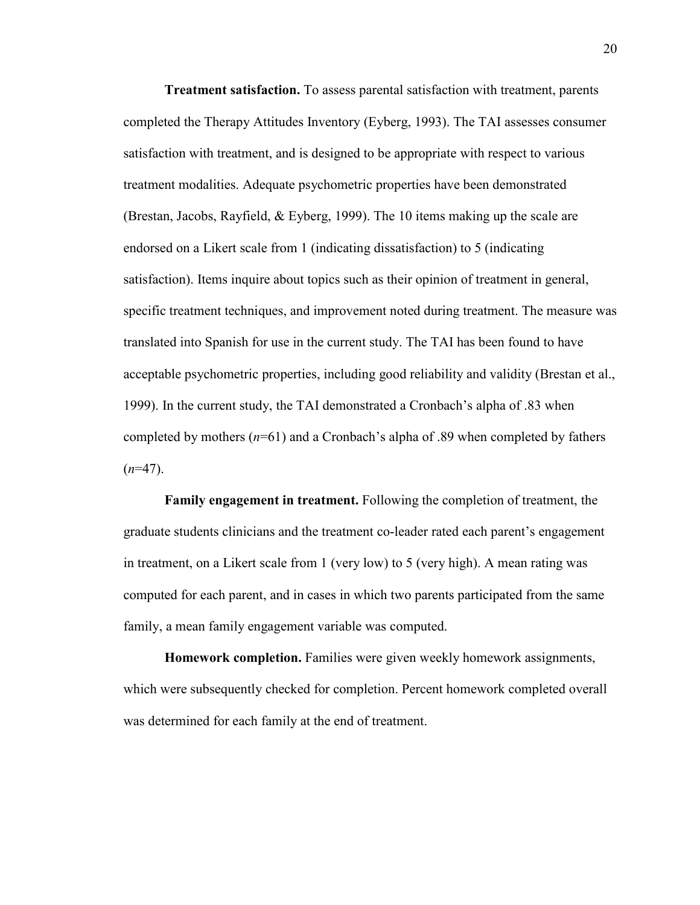**Treatment satisfaction.** To assess parental satisfaction with treatment, parents completed the Therapy Attitudes Inventory (Eyberg, 1993). The TAI assesses consumer satisfaction with treatment, and is designed to be appropriate with respect to various treatment modalities. Adequate psychometric properties have been demonstrated (Brestan, Jacobs, Rayfield, & Eyberg, 1999). The 10 items making up the scale are endorsed on a Likert scale from 1 (indicating dissatisfaction) to 5 (indicating satisfaction). Items inquire about topics such as their opinion of treatment in general, specific treatment techniques, and improvement noted during treatment. The measure was translated into Spanish for use in the current study. The TAI has been found to have acceptable psychometric properties, including good reliability and validity (Brestan et al., 1999). In the current study, the TAI demonstrated a Cronbach's alpha of .83 when completed by mothers  $(n=61)$  and a Cronbach's alpha of .89 when completed by fathers  $(n=47)$ .

**Family engagement in treatment.** Following the completion of treatment, the graduate students clinicians and the treatment co-leader rated each parent's engagement in treatment, on a Likert scale from 1 (very low) to 5 (very high). A mean rating was computed for each parent, and in cases in which two parents participated from the same family, a mean family engagement variable was computed.

**Homework completion.** Families were given weekly homework assignments, which were subsequently checked for completion. Percent homework completed overall was determined for each family at the end of treatment.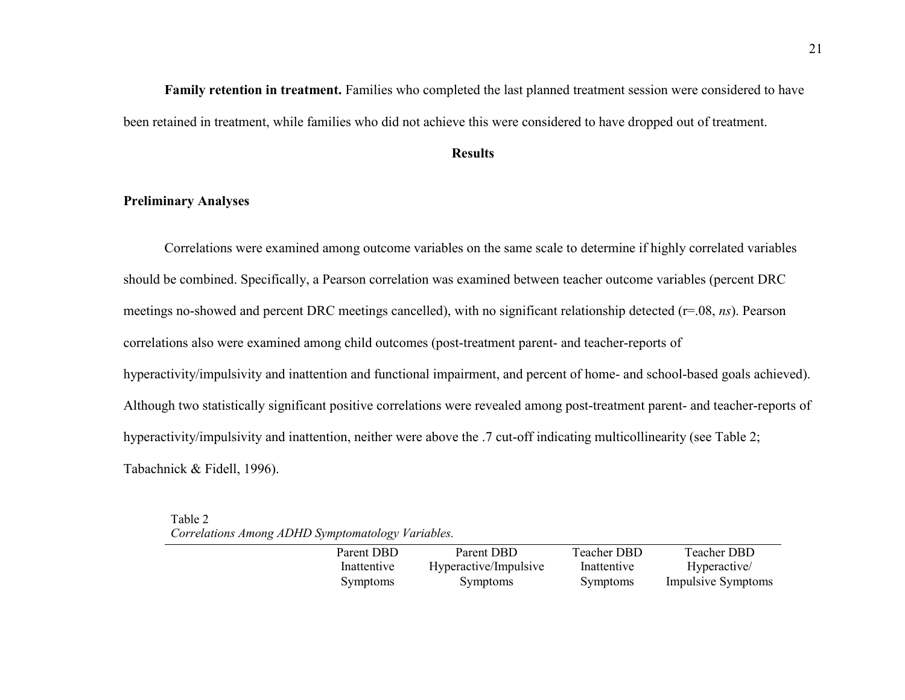**Family retention in treatment.** Families who completed the last planned treatment session were considered to have been retained in treatment, while families who did not achieve this were considered to have dropped out of treatment.

## **Results**

## **Preliminary Analyses**

 Correlations were examined among outcome variables on the same scale to determine if highly correlated variables should be combined. Specifically, a Pearson correlation was examined between teacher outcome variables (percent DRC meetings no-showed and percent DRC meetings cancelled), with no significant relationship detected (r=.08, *ns*). Pearson correlations also were examined among child outcomes (post-treatment parent- and teacher-reports of hyperactivity/impulsivity and inattention and functional impairment, and percent of home- and school-based goals achieved). Although two statistically significant positive correlations were revealed among post-treatment parent- and teacher-reports of hyperactivity/impulsivity and inattention, neither were above the .7 cut-off indicating multicollinearity (see Table 2; Tabachnick & Fidell, 1996).

Table 2 *Correlations Among ADHD Symptomatology Variables.* 

| Parent DBD      | Parent DBD            | Teacher DBD | <b>Teacher DBD</b>        |
|-----------------|-----------------------|-------------|---------------------------|
| Inattentive     | Hyperactive/Impulsive | Inattentive | Hyperactive/              |
| <b>Symptoms</b> | <b>Symptoms</b>       | Symptoms    | <b>Impulsive Symptoms</b> |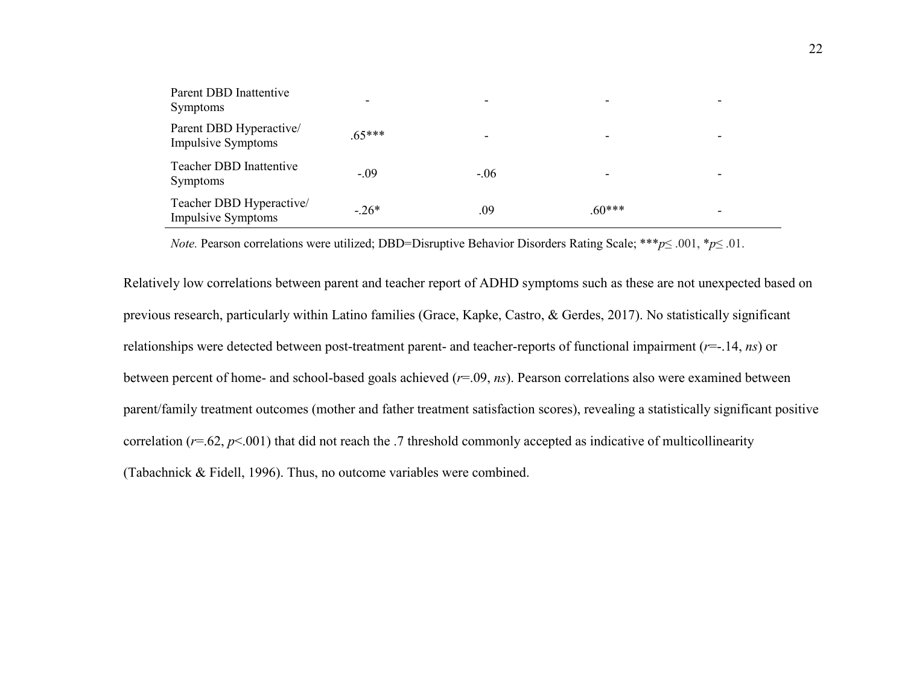| Parent DBD Inattentive<br>Symptoms                    | -        |        |          |  |
|-------------------------------------------------------|----------|--------|----------|--|
| Parent DBD Hyperactive/<br><b>Impulsive Symptoms</b>  | $.65***$ |        |          |  |
| <b>Teacher DBD Inattentive</b><br>Symptoms            | $-.09$   | $-.06$ | -        |  |
| Teacher DBD Hyperactive/<br><b>Impulsive Symptoms</b> | $-.26*$  | .09    | $.60***$ |  |

*Note.* Pearson correlations were utilized; DBD=Disruptive Behavior Disorders Rating Scale; \*\*\**p*≤ .001, \**p*≤ .01.

Relatively low correlations between parent and teacher report of ADHD symptoms such as these are not unexpected based on previous research, particularly within Latino families (Grace, Kapke, Castro, & Gerdes, 2017). No statistically significant relationships were detected between post-treatment parent- and teacher-reports of functional impairment (*r*=-.14, *ns*) or between percent of home- and school-based goals achieved (*r*=.09, *ns*). Pearson correlations also were examined between parent/family treatment outcomes (mother and father treatment satisfaction scores), revealing a statistically significant positive correlation  $(r=.62, p<.001)$  that did not reach the .7 threshold commonly accepted as indicative of multicollinearity (Tabachnick & Fidell, 1996). Thus, no outcome variables were combined.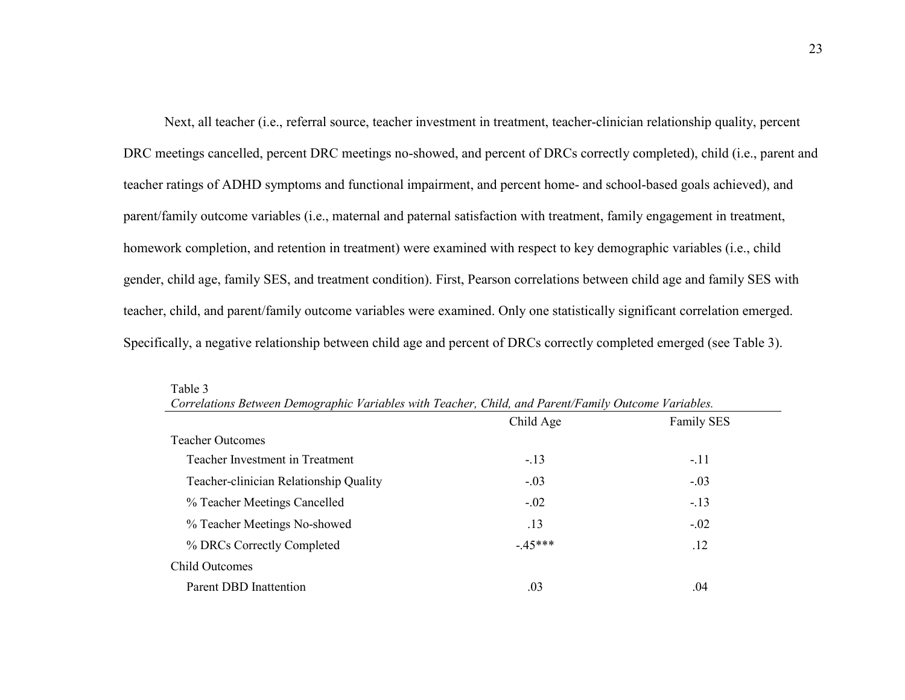Next, all teacher (i.e., referral source, teacher investment in treatment, teacher-clinician relationship quality, percent DRC meetings cancelled, percent DRC meetings no-showed, and percent of DRCs correctly completed), child (i.e., parent and teacher ratings of ADHD symptoms and functional impairment, and percent home- and school-based goals achieved), and parent/family outcome variables (i.e., maternal and paternal satisfaction with treatment, family engagement in treatment, homework completion, and retention in treatment) were examined with respect to key demographic variables (i.e., child gender, child age, family SES, and treatment condition). First, Pearson correlations between child age and family SES with teacher, child, and parent/family outcome variables were examined. Only one statistically significant correlation emerged. Specifically, a negative relationship between child age and percent of DRCs correctly completed emerged (see Table 3).

| Correlations Between Demographic Variables with Teacher, Child, and Parent/Family Outcome Variables. |           |                   |  |  |
|------------------------------------------------------------------------------------------------------|-----------|-------------------|--|--|
|                                                                                                      | Child Age | <b>Family SES</b> |  |  |
| <b>Teacher Outcomes</b>                                                                              |           |                   |  |  |
| Teacher Investment in Treatment                                                                      | $-.13$    | $-.11$            |  |  |
| Teacher-clinician Relationship Quality                                                               | $-.03$    | $-.03$            |  |  |
| % Teacher Meetings Cancelled                                                                         | $-.02$    | $-.13$            |  |  |
| % Teacher Meetings No-showed                                                                         | .13       | $-.02$            |  |  |
| % DRCs Correctly Completed                                                                           | $-45***$  | .12               |  |  |
| <b>Child Outcomes</b>                                                                                |           |                   |  |  |
| Parent DBD Inattention                                                                               | .03       | .04               |  |  |

| Table 3                                                                                              |  |
|------------------------------------------------------------------------------------------------------|--|
| Correlations Between Demographic Variables with Teacher, Child, and Parent/Family Outcome Variables. |  |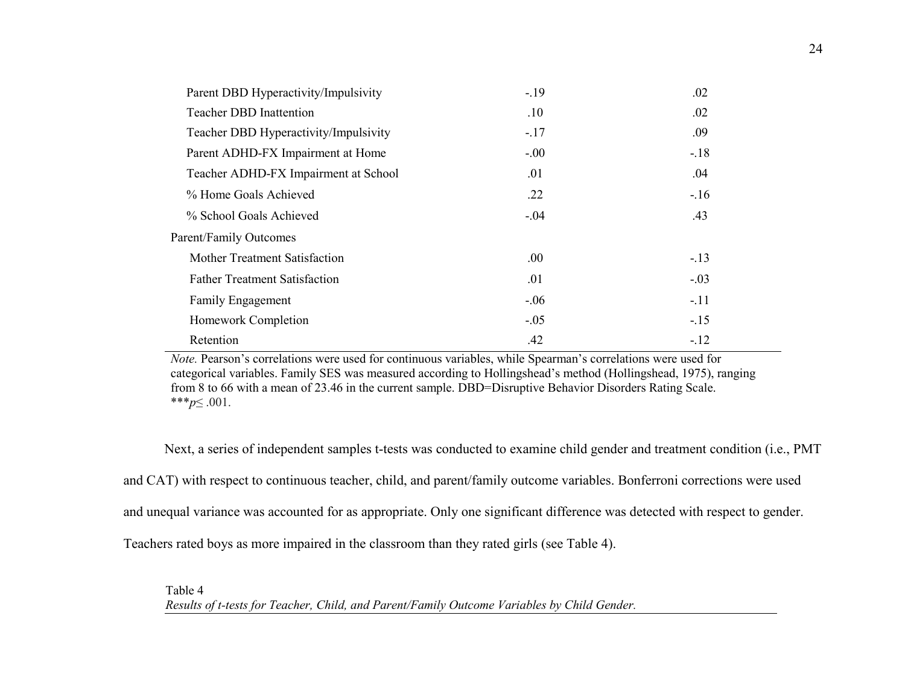| Parent DBD Hyperactivity/Impulsivity  | $-19$  | .02    |
|---------------------------------------|--------|--------|
| <b>Teacher DBD Inattention</b>        | .10    | .02    |
| Teacher DBD Hyperactivity/Impulsivity | $-.17$ | .09    |
| Parent ADHD-FX Impairment at Home     | $-.00$ | $-18$  |
| Teacher ADHD-FX Impairment at School  | .01    | .04    |
| % Home Goals Achieved                 | .22    | $-16$  |
| % School Goals Achieved               | $-.04$ | .43    |
| <b>Parent/Family Outcomes</b>         |        |        |
| Mother Treatment Satisfaction         | .00.   | $-13$  |
| <b>Father Treatment Satisfaction</b>  | .01    | $-.03$ |
| Family Engagement                     | $-.06$ | $-.11$ |
| Homework Completion                   | $-.05$ | $-15$  |
| Retention                             | .42    | $-.12$ |

*Note.* Pearson's correlations were used for continuous variables, while Spearman's correlations were used for categorical variables. Family SES was measured according to Hollingshead's method (Hollingshead, 1975), ranging from 8 to 66 with a mean of 23.46 in the current sample. DBD=Disruptive Behavior Disorders Rating Scale. \*\*\**p*≤ .001.

Next, a series of independent samples t-tests was conducted to examine child gender and treatment condition (i.e., PMT and CAT) with respect to continuous teacher, child, and parent/family outcome variables. Bonferroni corrections were used and unequal variance was accounted for as appropriate. Only one significant difference was detected with respect to gender. Teachers rated boys as more impaired in the classroom than they rated girls (see Table 4).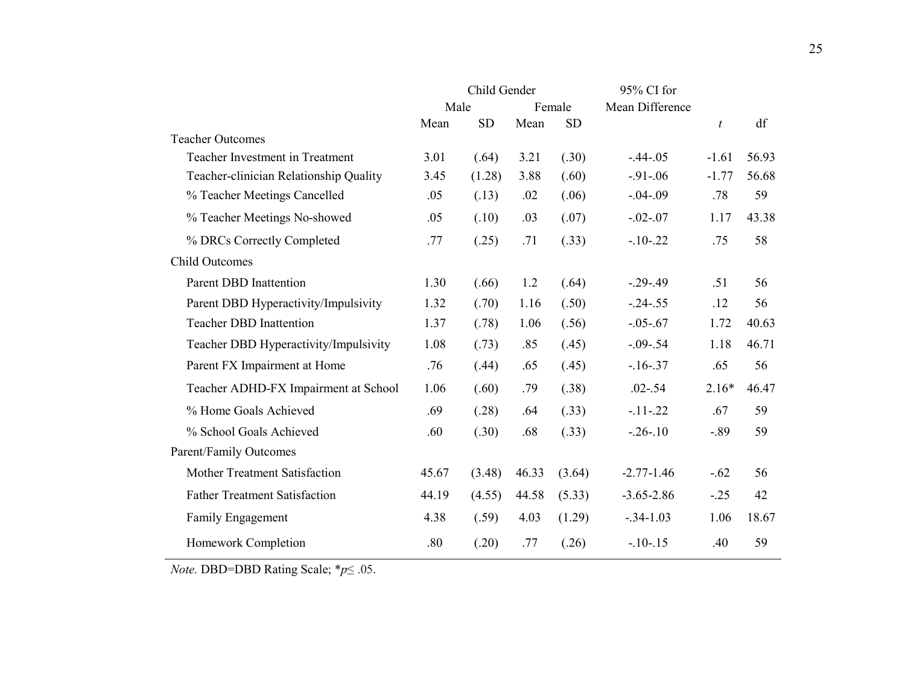|                                        | Child Gender |           |        | 95% CI for |                 |                |       |
|----------------------------------------|--------------|-----------|--------|------------|-----------------|----------------|-------|
|                                        | Male         |           | Female |            | Mean Difference |                |       |
|                                        | Mean         | <b>SD</b> | Mean   | <b>SD</b>  |                 | $\mathfrak{t}$ | df    |
| <b>Teacher Outcomes</b>                |              |           |        |            |                 |                |       |
| Teacher Investment in Treatment        | 3.01         | (.64)     | 3.21   | (.30)      | $-.44-.05$      | $-1.61$        | 56.93 |
| Teacher-clinician Relationship Quality | 3.45         | (1.28)    | 3.88   | (.60)      | $-91 - 06$      | $-1.77$        | 56.68 |
| % Teacher Meetings Cancelled           | .05          | (.13)     | .02    | (.06)      | $-.04-.09$      | .78            | 59    |
| % Teacher Meetings No-showed           | .05          | (.10)     | .03    | (.07)      | $-.02-.07$      | 1.17           | 43.38 |
| % DRCs Correctly Completed             | .77          | (.25)     | .71    | (.33)      | $-10-22$        | .75            | 58    |
| <b>Child Outcomes</b>                  |              |           |        |            |                 |                |       |
| Parent DBD Inattention                 | 1.30         | (.66)     | 1.2    | (.64)      | $-.29-.49$      | .51            | 56    |
| Parent DBD Hyperactivity/Impulsivity   | 1.32         | (.70)     | 1.16   | (.50)      | $-.24-.55$      | .12            | 56    |
| <b>Teacher DBD Inattention</b>         | 1.37         | (.78)     | 1.06   | (.56)      | $-.05-.67$      | 1.72           | 40.63 |
| Teacher DBD Hyperactivity/Impulsivity  | 1.08         | (.73)     | .85    | (.45)      | $-.09-.54$      | 1.18           | 46.71 |
| Parent FX Impairment at Home           | .76          | (.44)     | .65    | (.45)      | $-16 - 37$      | .65            | 56    |
| Teacher ADHD-FX Impairment at School   | 1.06         | (.60)     | .79    | (.38)      | $.02 - .54$     | $2.16*$        | 46.47 |
| % Home Goals Achieved                  | .69          | (.28)     | .64    | (.33)      | $-11 - 22$      | .67            | 59    |
| % School Goals Achieved                | .60          | (.30)     | .68    | (.33)      | $-.26-.10$      | $-0.89$        | 59    |
| Parent/Family Outcomes                 |              |           |        |            |                 |                |       |
| Mother Treatment Satisfaction          | 45.67        | (3.48)    | 46.33  | (3.64)     | $-2.77 - 1.46$  | $-.62$         | 56    |
| <b>Father Treatment Satisfaction</b>   | 44.19        | (4.55)    | 44.58  | (5.33)     | $-3.65 - 2.86$  | $-.25$         | 42    |
| Family Engagement                      | 4.38         | (.59)     | 4.03   | (1.29)     | $-.34-1.03$     | 1.06           | 18.67 |
| Homework Completion                    | .80          | (.20)     | .77    | (.26)      | $-10-15$        | .40            | 59    |

*Note.* DBD=DBD Rating Scale; \**p*≤ .05.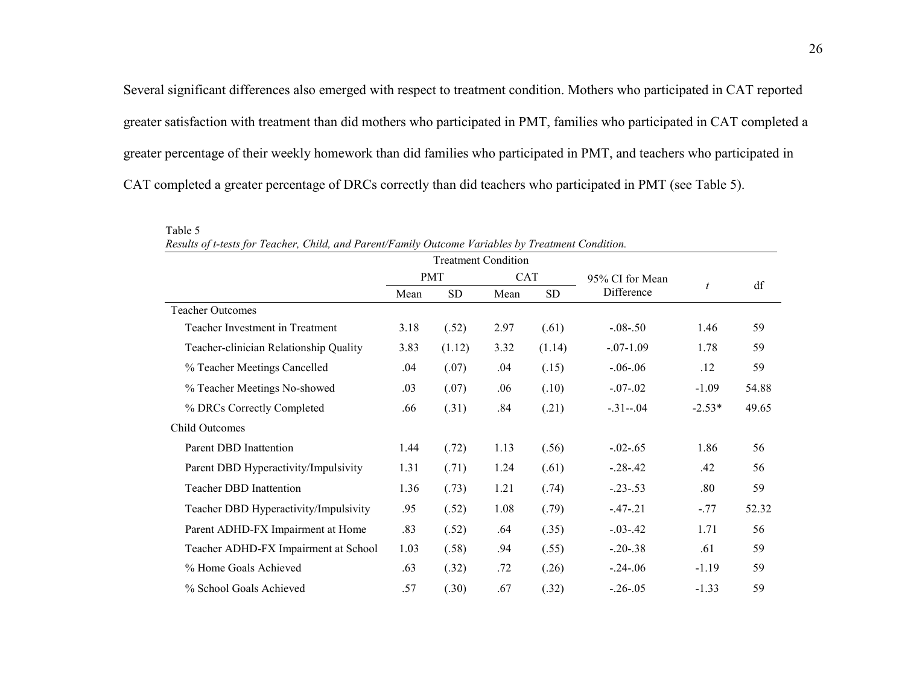Several significant differences also emerged with respect to treatment condition. Mothers who participated in CAT reported greater satisfaction with treatment than did mothers who participated in PMT, families who participated in CAT completed a greater percentage of their weekly homework than did families who participated in PMT, and teachers who participated in CAT completed a greater percentage of DRCs correctly than did teachers who participated in PMT (see Table 5).

| $\cdot$<br><b>Treatment Condition</b>  |            |           |            |        |                 |                  |       |
|----------------------------------------|------------|-----------|------------|--------|-----------------|------------------|-------|
|                                        | <b>PMT</b> |           | <b>CAT</b> |        | 95% CI for Mean |                  | df    |
|                                        | Mean       | <b>SD</b> | Mean       | SD.    | Difference      | $\boldsymbol{t}$ |       |
| <b>Teacher Outcomes</b>                |            |           |            |        |                 |                  |       |
| Teacher Investment in Treatment        | 3.18       | (.52)     | 2.97       | (.61)  | $-.08-.50$      | 1.46             | 59    |
| Teacher-clinician Relationship Quality | 3.83       | (1.12)    | 3.32       | (1.14) | $-.07-1.09$     | 1.78             | 59    |
| % Teacher Meetings Cancelled           | .04        | (.07)     | .04        | (.15)  | $-.06-.06$      | .12              | 59    |
| % Teacher Meetings No-showed           | .03        | (.07)     | .06        | (.10)  | $-.07-.02$      | $-1.09$          | 54.88 |
| % DRCs Correctly Completed             | .66        | (.31)     | .84        | (.21)  | $-.31-.04$      | $-2.53*$         | 49.65 |
| <b>Child Outcomes</b>                  |            |           |            |        |                 |                  |       |
| Parent DBD Inattention                 | 1.44       | (.72)     | 1.13       | (.56)  | $-0.02 - 0.65$  | 1.86             | 56    |
| Parent DBD Hyperactivity/Impulsivity   | 1.31       | (.71)     | 1.24       | (.61)  | $-.28-.42$      | .42              | 56    |
| <b>Teacher DBD Inattention</b>         | 1.36       | (.73)     | 1.21       | (.74)  | $-.23-.53$      | .80              | 59    |
| Teacher DBD Hyperactivity/Impulsivity  | .95        | (.52)     | 1.08       | (.79)  | $-47-21$        | $-.77$           | 52.32 |
| Parent ADHD-FX Impairment at Home      | .83        | (.52)     | .64        | (.35)  | $-.03-.42$      | 1.71             | 56    |
| Teacher ADHD-FX Impairment at School   | 1.03       | (.58)     | .94        | (.55)  | $-.20-.38$      | .61              | 59    |
| % Home Goals Achieved                  | .63        | (.32)     | .72        | (.26)  | $-.24-.06$      | $-1.19$          | 59    |
| % School Goals Achieved                | .57        | (.30)     | .67        | (.32)  | $-.26-.05$      | $-1.33$          | 59    |

*Results of t-tests for Teacher, Child, and Parent/Family Outcome Variables by Treatment Condition.* 

Table 5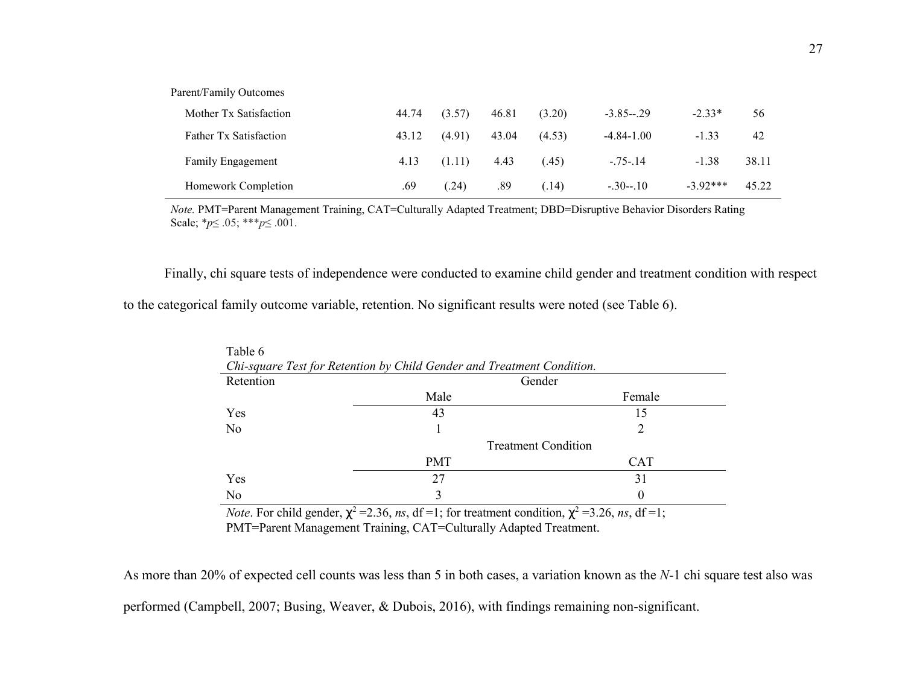| Parent/Family Outcomes |       |        |       |        |                |            |       |
|------------------------|-------|--------|-------|--------|----------------|------------|-------|
| Mother Tx Satisfaction | 44.74 | (3.57) | 46.81 | (3.20) | $-3.85 - 29$   | $-2.33*$   | 56    |
| Father Tx Satisfaction | 43.12 | (4.91) | 43.04 | (4.53) | $-4.84 - 1.00$ | $-1.33$    | 42    |
| Family Engagement      | 4.13  | (1.11) | 4.43  | (45)   | $-.75-.14$     | $-1.38$    | 38.11 |
| Homework Completion    | .69   | (.24)  | .89   | (.14)  | $-.30-.10$     | $-3.92***$ | 45.22 |

*Note.* PMT=Parent Management Training, CAT=Culturally Adapted Treatment; DBD=Disruptive Behavior Disorders Rating Scale; \**p*≤ .05; \*\*\**p*≤ .001.

Finally, chi square tests of independence were conducted to examine child gender and treatment condition with respect

to the categorical family outcome variable, retention. No significant results were noted (see Table 6).

| Table 6                                                                |                                                                                                                                   |                                                                                                                                                                    |  |  |  |  |  |  |
|------------------------------------------------------------------------|-----------------------------------------------------------------------------------------------------------------------------------|--------------------------------------------------------------------------------------------------------------------------------------------------------------------|--|--|--|--|--|--|
| Chi-square Test for Retention by Child Gender and Treatment Condition. |                                                                                                                                   |                                                                                                                                                                    |  |  |  |  |  |  |
| Retention                                                              | Gender                                                                                                                            |                                                                                                                                                                    |  |  |  |  |  |  |
|                                                                        | Male                                                                                                                              | Female                                                                                                                                                             |  |  |  |  |  |  |
| Yes                                                                    | 43                                                                                                                                | 15                                                                                                                                                                 |  |  |  |  |  |  |
| N <sub>0</sub>                                                         |                                                                                                                                   | $\mathcal{D}_{\mathcal{A}}^{\mathcal{A}}(\mathcal{A}) = \mathcal{D}_{\mathcal{A}}^{\mathcal{A}}(\mathcal{A}) \mathcal{D}_{\mathcal{A}}^{\mathcal{A}}(\mathcal{A})$ |  |  |  |  |  |  |
|                                                                        | <b>Treatment Condition</b>                                                                                                        |                                                                                                                                                                    |  |  |  |  |  |  |
|                                                                        | <b>PMT</b>                                                                                                                        | <b>CAT</b>                                                                                                                                                         |  |  |  |  |  |  |
| Yes                                                                    | 27                                                                                                                                | 31                                                                                                                                                                 |  |  |  |  |  |  |
| N <sub>0</sub>                                                         |                                                                                                                                   | $\theta$                                                                                                                                                           |  |  |  |  |  |  |
|                                                                        | <i>Note.</i> For child gender, $\chi^2$ = 2.36, <i>ns</i> , df = 1; for treatment condition, $\chi^2$ = 3.26, <i>ns</i> , df = 1; |                                                                                                                                                                    |  |  |  |  |  |  |

PMT=Parent Management Training, CAT=Culturally Adapted Treatment.

As more than 20% of expected cell counts was less than 5 in both cases, a variation known as the *N*-1 chi square test also was performed (Campbell, 2007; Busing, Weaver, & Dubois, 2016), with findings remaining non-significant.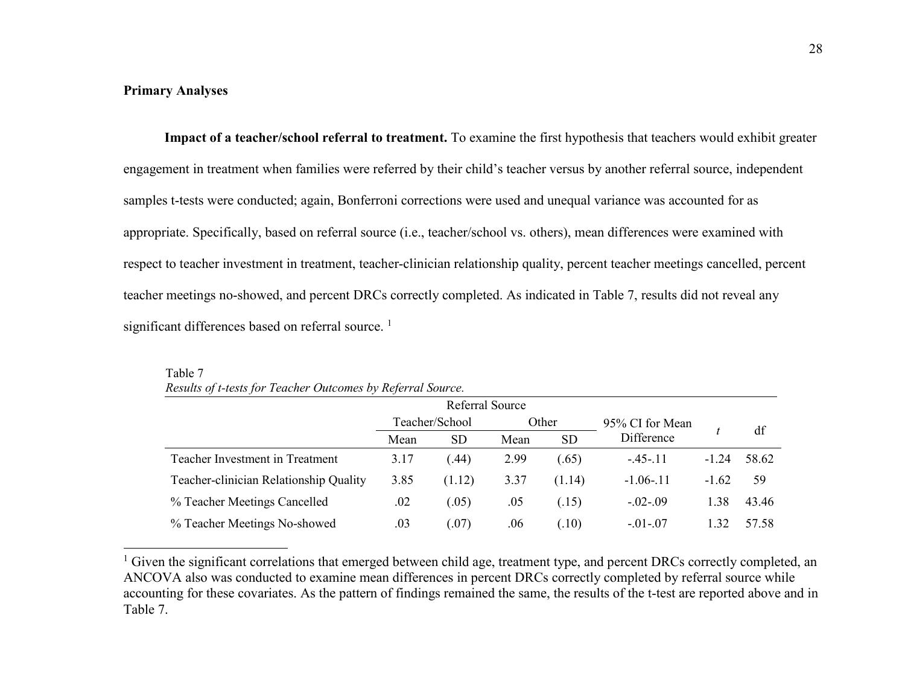### **Primary Analyses**

**Impact of a teacher/school referral to treatment.** To examine the first hypothesis that teachers would exhibit greater engagement in treatment when families were referred by their child's teacher versus by another referral source, independent samples t-tests were conducted; again, Bonferroni corrections were used and unequal variance was accounted for as appropriate. Specifically, based on referral source (i.e., teacher/school vs. others), mean differences were examined with respect to teacher investment in treatment, teacher-clinician relationship quality, percent teacher meetings cancelled, percent teacher meetings no-showed, and percent DRCs correctly completed. As indicated in Table 7, results did not reveal any significant differences based on referral source.<sup>1</sup>

| Referral Source                        |                |           |       |           |                 |         |       |
|----------------------------------------|----------------|-----------|-------|-----------|-----------------|---------|-------|
|                                        | Teacher/School |           | Other |           | 95% CI for Mean |         |       |
|                                        | Mean           | <b>SD</b> | Mean  | <b>SD</b> | Difference      |         | df    |
| Teacher Investment in Treatment        | 3.17           | .44)      | 2.99  | (.65)     | $-45 - 11$      | $-1.24$ | 58.62 |
| Teacher-clinician Relationship Quality | 3.85           | (1.12)    | 3.37  | (1.14)    | $-1.06 - 11$    | $-1.62$ | 59    |
| % Teacher Meetings Cancelled           | .02            | (0.05)    | .05   | (.15)     | $-.02-.09$      | 1.38    | 43.46 |
| % Teacher Meetings No-showed           | .03            | (07)      | .06   | (.10)     | $-.01-.07$      |         | 57.58 |

Table 7 *Results of t-tests for Teacher Outcomes by Referral Source.* 

<sup>1</sup> Given the significant correlations that emerged between child age, treatment type, and percent DRCs correctly completed, an ANCOVA also was conducted to examine mean differences in percent DRCs correctly completed by referral source while accounting for these covariates. As the pattern of findings remained the same, the results of the t-test are reported above and in Table 7.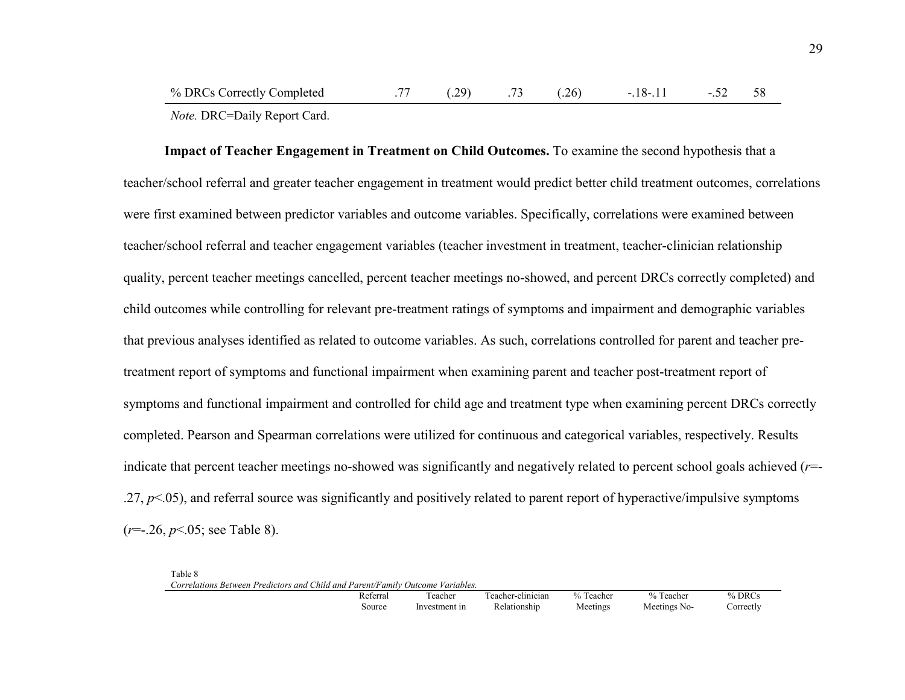**Impact of Teacher Engagement in Treatment on Child Outcomes.** To examine the second hypothesis that a teacher/school referral and greater teacher engagement in treatment would predict better child treatment outcomes, correlations were first examined between predictor variables and outcome variables. Specifically, correlations were examined between teacher/school referral and teacher engagement variables (teacher investment in treatment, teacher-clinician relationship quality, percent teacher meetings cancelled, percent teacher meetings no-showed, and percent DRCs correctly completed) and child outcomes while controlling for relevant pre-treatment ratings of symptoms and impairment and demographic variables that previous analyses identified as related to outcome variables. As such, correlations controlled for parent and teacher pretreatment report of symptoms and functional impairment when examining parent and teacher post-treatment report of symptoms and functional impairment and controlled for child age and treatment type when examining percent DRCs correctly completed. Pearson and Spearman correlations were utilized for continuous and categorical variables, respectively. Results indicate that percent teacher meetings no-showed was significantly and negatively related to percent school goals achieved (*r*=-.27, *p*<.05), and referral source was significantly and positively related to parent report of hyperactive/impulsive symptoms (*r*=-.26, *p*<.05; see Table 8).

| Table 8                                                                        |               |                   |           |              |           |
|--------------------------------------------------------------------------------|---------------|-------------------|-----------|--------------|-----------|
| Correlations Between Predictors and Child and Parent/Family Outcome Variables. |               |                   |           |              |           |
| Referral                                                                       | Teacher       | Teacher-clinician | % Teacher | % Teacher    | $%$ DRCs  |
| Source                                                                         | Investment in | Relationship      | Meetings  | Meetings No- | Correctly |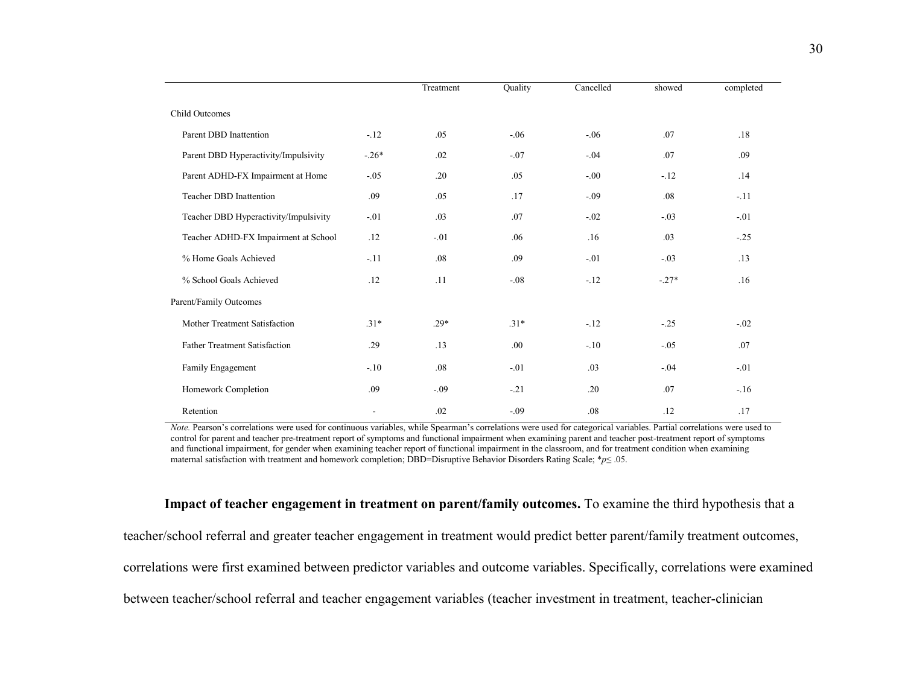|                                       |         | Treatment | Quality | Cancelled | showed  | completed |
|---------------------------------------|---------|-----------|---------|-----------|---------|-----------|
| Child Outcomes                        |         |           |         |           |         |           |
| Parent DBD Inattention                | $-.12$  | .05       | $-.06$  | $-.06$    | .07     | .18       |
| Parent DBD Hyperactivity/Impulsivity  | $-.26*$ | .02       | $-.07$  | $-.04$    | .07     | .09       |
| Parent ADHD-FX Impairment at Home     | $-.05$  | .20       | .05     | $-.00$    | $-12$   | .14       |
| <b>Teacher DBD Inattention</b>        | .09     | .05       | .17     | $-.09$    | .08     | $-.11$    |
| Teacher DBD Hyperactivity/Impulsivity | $-.01$  | .03       | .07     | $-.02$    | $-.03$  | $-.01$    |
| Teacher ADHD-FX Impairment at School  | .12     | $-.01$    | .06     | .16       | .03     | $-.25$    |
| % Home Goals Achieved                 | $-.11$  | .08       | .09     | $-.01$    | $-.03$  | .13       |
| % School Goals Achieved               | .12     | .11       | $-.08$  | $-12$     | $-.27*$ | .16       |
| Parent/Family Outcomes                |         |           |         |           |         |           |
| Mother Treatment Satisfaction         | $.31*$  | $.29*$    | $.31*$  | $-12$     | $-.25$  | $-.02$    |
| <b>Father Treatment Satisfaction</b>  | .29     | .13       | .00.    | $-.10$    | $-.05$  | .07       |
| Family Engagement                     | $-.10$  | .08       | $-.01$  | .03       | $-.04$  | $-.01$    |
| Homework Completion                   | .09     | $-.09$    | $-21$   | .20       | .07     | $-.16$    |
| Retention                             | $\sim$  | .02       | $-.09$  | .08       | .12     | .17       |

*Note.* Pearson's correlations were used for continuous variables, while Spearman's correlations were used for categorical variables. Partial correlations were used to control for parent and teacher pre-treatment report of symptoms and functional impairment when examining parent and teacher post-treatment report of symptoms and functional impairment, for gender when examining teacher report of functional impairment in the classroom, and for treatment condition when examiningmaternal satisfaction with treatment and homework completion; DBD=Disruptive Behavior Disorders Rating Scale; \**p*≤ .05.

**Impact of teacher engagement in treatment on parent/family outcomes.** To examine the third hypothesis that a teacher/school referral and greater teacher engagement in treatment would predict better parent/family treatment outcomes, correlations were first examined between predictor variables and outcome variables. Specifically, correlations were examined between teacher/school referral and teacher engagement variables (teacher investment in treatment, teacher-clinician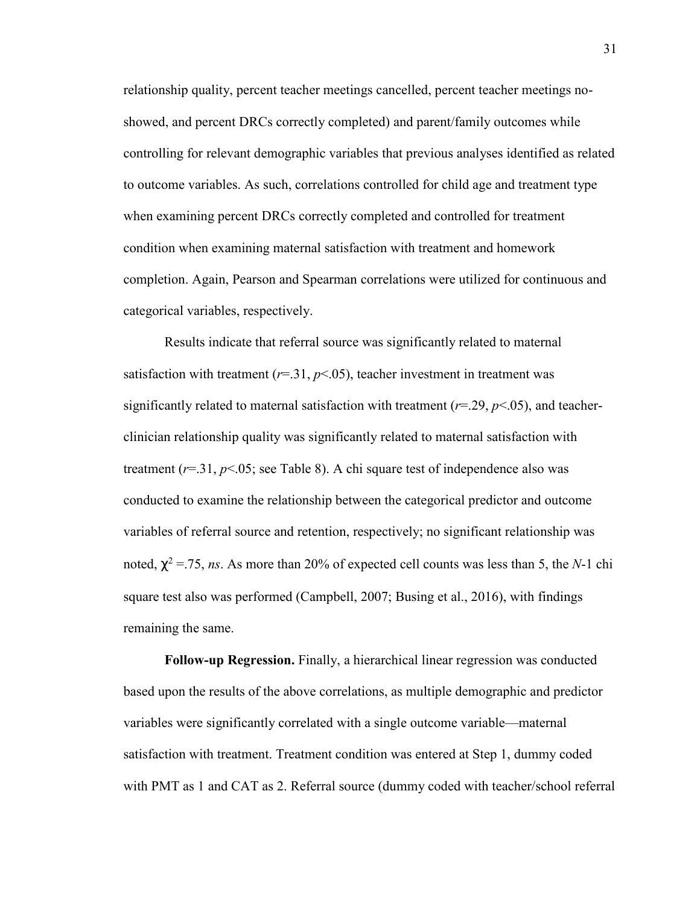relationship quality, percent teacher meetings cancelled, percent teacher meetings noshowed, and percent DRCs correctly completed) and parent/family outcomes while controlling for relevant demographic variables that previous analyses identified as related to outcome variables. As such, correlations controlled for child age and treatment type when examining percent DRCs correctly completed and controlled for treatment condition when examining maternal satisfaction with treatment and homework completion. Again, Pearson and Spearman correlations were utilized for continuous and categorical variables, respectively.

Results indicate that referral source was significantly related to maternal satisfaction with treatment  $(r=31, p<0.05)$ , teacher investment in treatment was significantly related to maternal satisfaction with treatment  $(r=29, p<0.05)$ , and teacherclinician relationship quality was significantly related to maternal satisfaction with treatment  $(r=31, p<0.05;$  see Table 8). A chi square test of independence also was conducted to examine the relationship between the categorical predictor and outcome variables of referral source and retention, respectively; no significant relationship was noted,  $\chi^2$  = 75, *ns*. As more than 20% of expected cell counts was less than 5, the *N*-1 chi square test also was performed (Campbell, 2007; Busing et al., 2016), with findings remaining the same.

**Follow-up Regression.** Finally, a hierarchical linear regression was conducted based upon the results of the above correlations, as multiple demographic and predictor variables were significantly correlated with a single outcome variable—maternal satisfaction with treatment. Treatment condition was entered at Step 1, dummy coded with PMT as 1 and CAT as 2. Referral source (dummy coded with teacher/school referral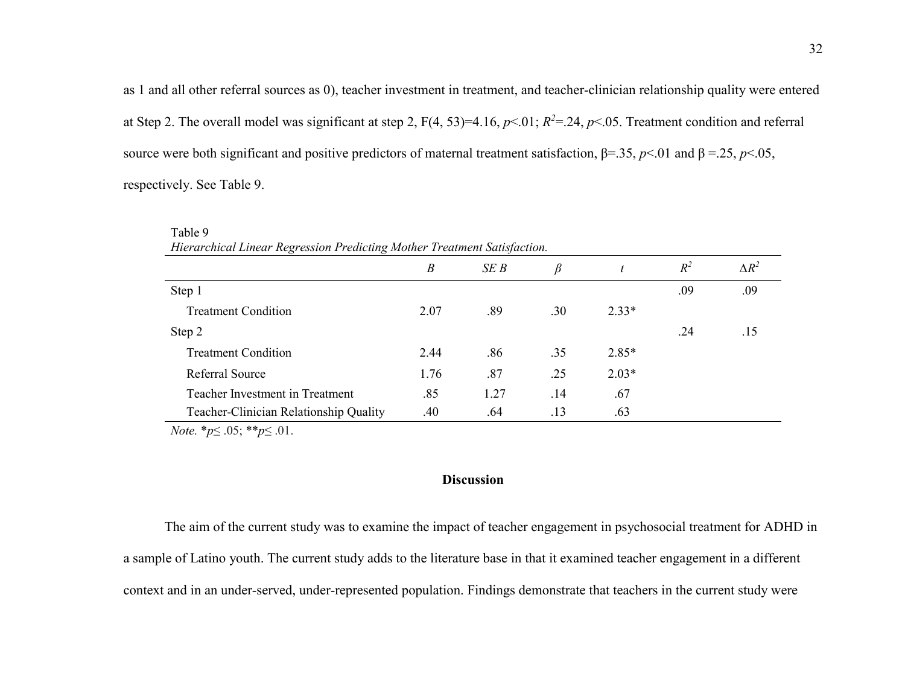as 1 and all other referral sources as 0), teacher investment in treatment, and teacher-clinician relationship quality were entered at Step 2. The overall model was significant at step 2,  $F(4, 53)=4.16$ ,  $p<01$ ;  $R^2=24$ ,  $p<05$ . Treatment condition and referral source were both significant and positive predictors of maternal treatment satisfaction,  $β=0.35$ ,  $p<01$  and  $β=0.25$ ,  $p<05$ , respectively. See Table 9.

| Hierarchical Linear Regression Predicting Mother Treatment Satisfaction. |      |      |     |         |       |              |  |  |  |
|--------------------------------------------------------------------------|------|------|-----|---------|-------|--------------|--|--|--|
|                                                                          | B    | SEB  | B   |         | $R^2$ | $\Delta R^2$ |  |  |  |
| Step 1                                                                   |      |      |     |         | .09   | .09          |  |  |  |
| <b>Treatment Condition</b>                                               | 2.07 | .89  | .30 | $2.33*$ |       |              |  |  |  |
| Step 2                                                                   |      |      |     |         | .24   | .15          |  |  |  |
| <b>Treatment Condition</b>                                               | 2.44 | .86  | .35 | $2.85*$ |       |              |  |  |  |
| Referral Source                                                          | 1.76 | .87  | .25 | $2.03*$ |       |              |  |  |  |
| Teacher Investment in Treatment                                          | .85  | 1.27 | .14 | .67     |       |              |  |  |  |
| Teacher-Clinician Relationship Quality                                   | .40  | .64  | .13 | .63     |       |              |  |  |  |

*Note.* \**p*≤ .05; \*\**p*≤ .01.

Table 9

## **Discussion**

 The aim of the current study was to examine the impact of teacher engagement in psychosocial treatment for ADHD in a sample of Latino youth. The current study adds to the literature base in that it examined teacher engagement in a different context and in an under-served, under-represented population. Findings demonstrate that teachers in the current study were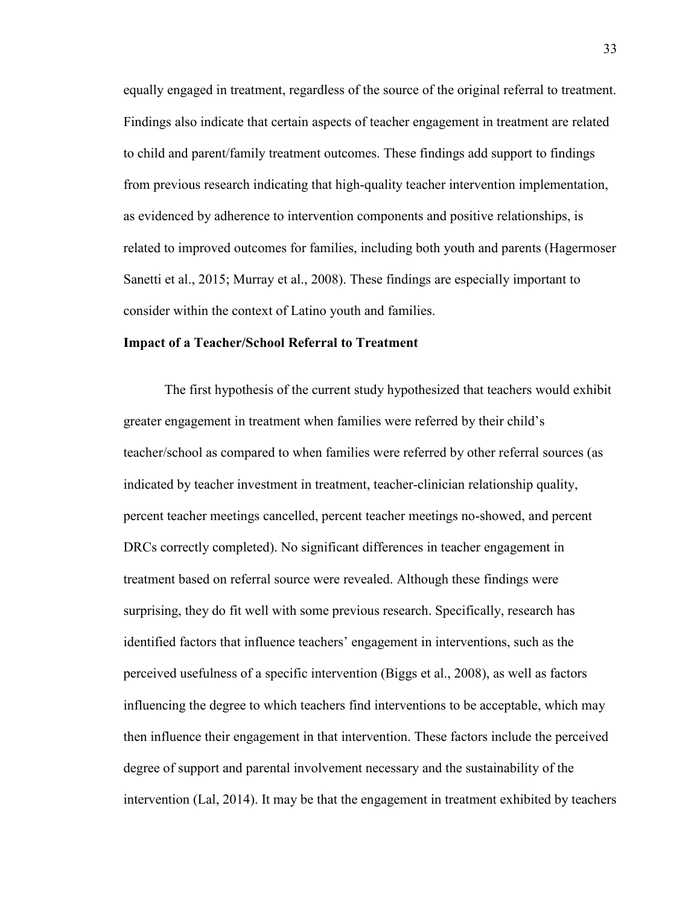equally engaged in treatment, regardless of the source of the original referral to treatment. Findings also indicate that certain aspects of teacher engagement in treatment are related to child and parent/family treatment outcomes. These findings add support to findings from previous research indicating that high-quality teacher intervention implementation, as evidenced by adherence to intervention components and positive relationships, is related to improved outcomes for families, including both youth and parents (Hagermoser Sanetti et al., 2015; Murray et al., 2008). These findings are especially important to consider within the context of Latino youth and families.

#### **Impact of a Teacher/School Referral to Treatment**

The first hypothesis of the current study hypothesized that teachers would exhibit greater engagement in treatment when families were referred by their child's teacher/school as compared to when families were referred by other referral sources (as indicated by teacher investment in treatment, teacher-clinician relationship quality, percent teacher meetings cancelled, percent teacher meetings no-showed, and percent DRCs correctly completed). No significant differences in teacher engagement in treatment based on referral source were revealed. Although these findings were surprising, they do fit well with some previous research. Specifically, research has identified factors that influence teachers' engagement in interventions, such as the perceived usefulness of a specific intervention (Biggs et al., 2008), as well as factors influencing the degree to which teachers find interventions to be acceptable, which may then influence their engagement in that intervention. These factors include the perceived degree of support and parental involvement necessary and the sustainability of the intervention (Lal, 2014). It may be that the engagement in treatment exhibited by teachers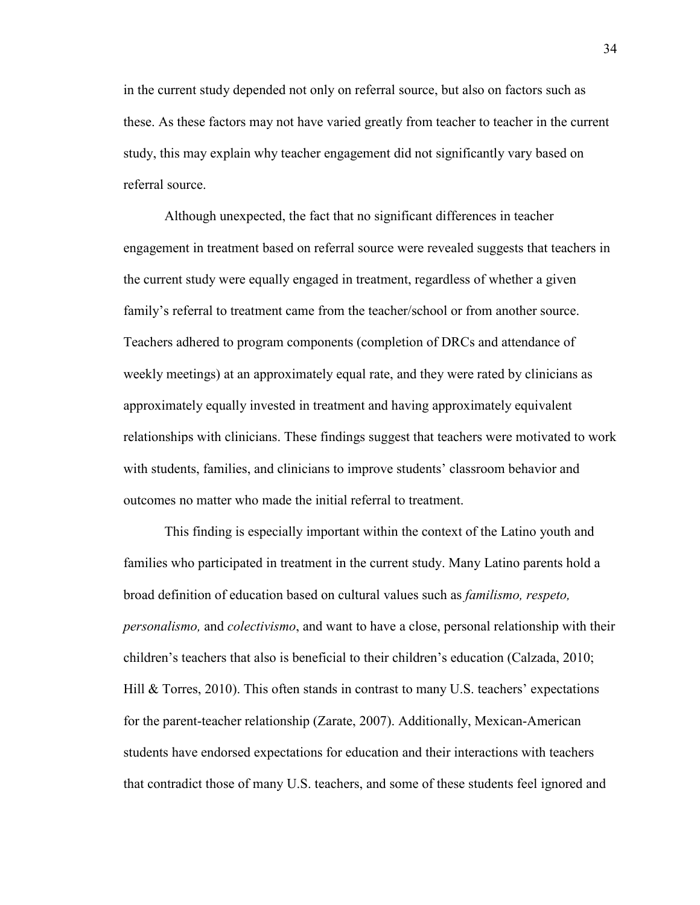in the current study depended not only on referral source, but also on factors such as these. As these factors may not have varied greatly from teacher to teacher in the current study, this may explain why teacher engagement did not significantly vary based on referral source.

Although unexpected, the fact that no significant differences in teacher engagement in treatment based on referral source were revealed suggests that teachers in the current study were equally engaged in treatment, regardless of whether a given family's referral to treatment came from the teacher/school or from another source. Teachers adhered to program components (completion of DRCs and attendance of weekly meetings) at an approximately equal rate, and they were rated by clinicians as approximately equally invested in treatment and having approximately equivalent relationships with clinicians. These findings suggest that teachers were motivated to work with students, families, and clinicians to improve students' classroom behavior and outcomes no matter who made the initial referral to treatment.

 This finding is especially important within the context of the Latino youth and families who participated in treatment in the current study. Many Latino parents hold a broad definition of education based on cultural values such as *familismo, respeto, personalismo,* and *colectivismo*, and want to have a close, personal relationship with their children's teachers that also is beneficial to their children's education (Calzada, 2010; Hill  $\&$  Torres, 2010). This often stands in contrast to many U.S. teachers' expectations for the parent-teacher relationship (Zarate, 2007). Additionally, Mexican-American students have endorsed expectations for education and their interactions with teachers that contradict those of many U.S. teachers, and some of these students feel ignored and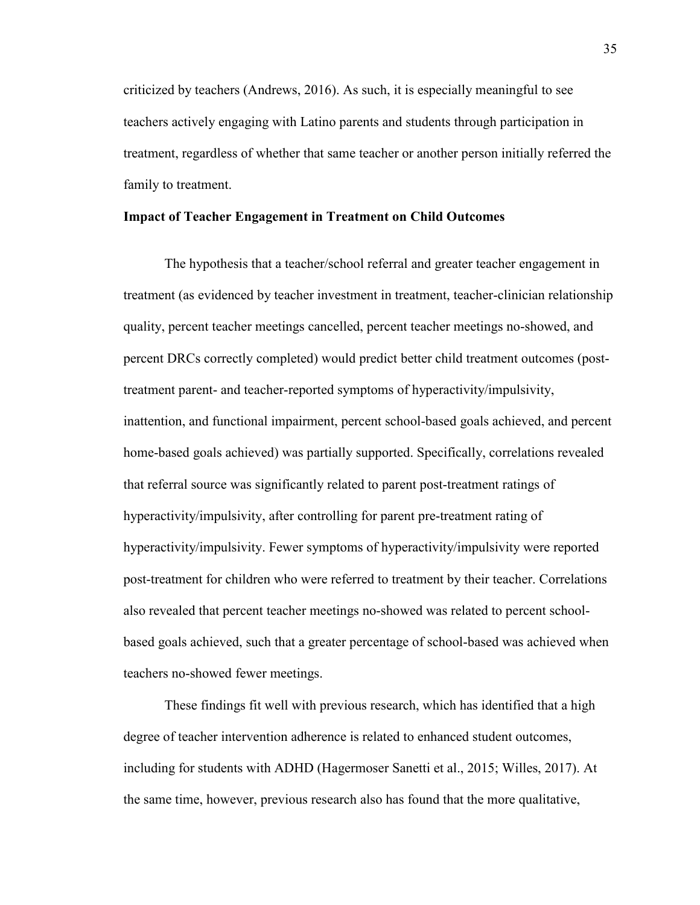criticized by teachers (Andrews, 2016). As such, it is especially meaningful to see teachers actively engaging with Latino parents and students through participation in treatment, regardless of whether that same teacher or another person initially referred the family to treatment.

#### **Impact of Teacher Engagement in Treatment on Child Outcomes**

The hypothesis that a teacher/school referral and greater teacher engagement in treatment (as evidenced by teacher investment in treatment, teacher-clinician relationship quality, percent teacher meetings cancelled, percent teacher meetings no-showed, and percent DRCs correctly completed) would predict better child treatment outcomes (posttreatment parent- and teacher-reported symptoms of hyperactivity/impulsivity, inattention, and functional impairment, percent school-based goals achieved, and percent home-based goals achieved) was partially supported. Specifically, correlations revealed that referral source was significantly related to parent post-treatment ratings of hyperactivity/impulsivity, after controlling for parent pre-treatment rating of hyperactivity/impulsivity. Fewer symptoms of hyperactivity/impulsivity were reported post-treatment for children who were referred to treatment by their teacher. Correlations also revealed that percent teacher meetings no-showed was related to percent schoolbased goals achieved, such that a greater percentage of school-based was achieved when teachers no-showed fewer meetings.

These findings fit well with previous research, which has identified that a high degree of teacher intervention adherence is related to enhanced student outcomes, including for students with ADHD (Hagermoser Sanetti et al., 2015; Willes, 2017). At the same time, however, previous research also has found that the more qualitative,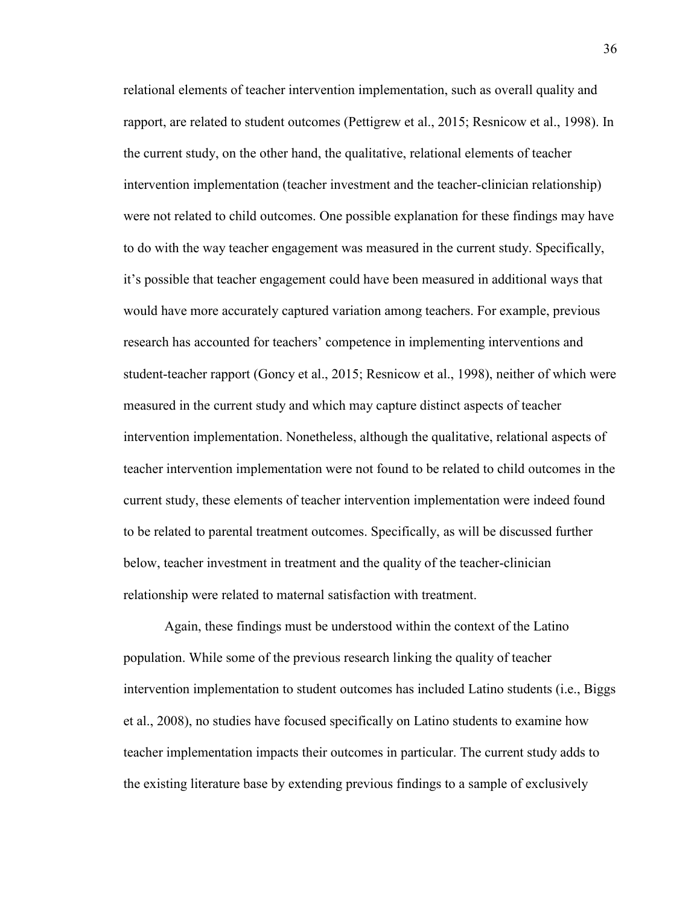relational elements of teacher intervention implementation, such as overall quality and rapport, are related to student outcomes (Pettigrew et al., 2015; Resnicow et al., 1998). In the current study, on the other hand, the qualitative, relational elements of teacher intervention implementation (teacher investment and the teacher-clinician relationship) were not related to child outcomes. One possible explanation for these findings may have to do with the way teacher engagement was measured in the current study. Specifically, it's possible that teacher engagement could have been measured in additional ways that would have more accurately captured variation among teachers. For example, previous research has accounted for teachers' competence in implementing interventions and student-teacher rapport (Goncy et al., 2015; Resnicow et al., 1998), neither of which were measured in the current study and which may capture distinct aspects of teacher intervention implementation. Nonetheless, although the qualitative, relational aspects of teacher intervention implementation were not found to be related to child outcomes in the current study, these elements of teacher intervention implementation were indeed found to be related to parental treatment outcomes. Specifically, as will be discussed further below, teacher investment in treatment and the quality of the teacher-clinician relationship were related to maternal satisfaction with treatment.

Again, these findings must be understood within the context of the Latino population. While some of the previous research linking the quality of teacher intervention implementation to student outcomes has included Latino students (i.e., Biggs et al., 2008), no studies have focused specifically on Latino students to examine how teacher implementation impacts their outcomes in particular. The current study adds to the existing literature base by extending previous findings to a sample of exclusively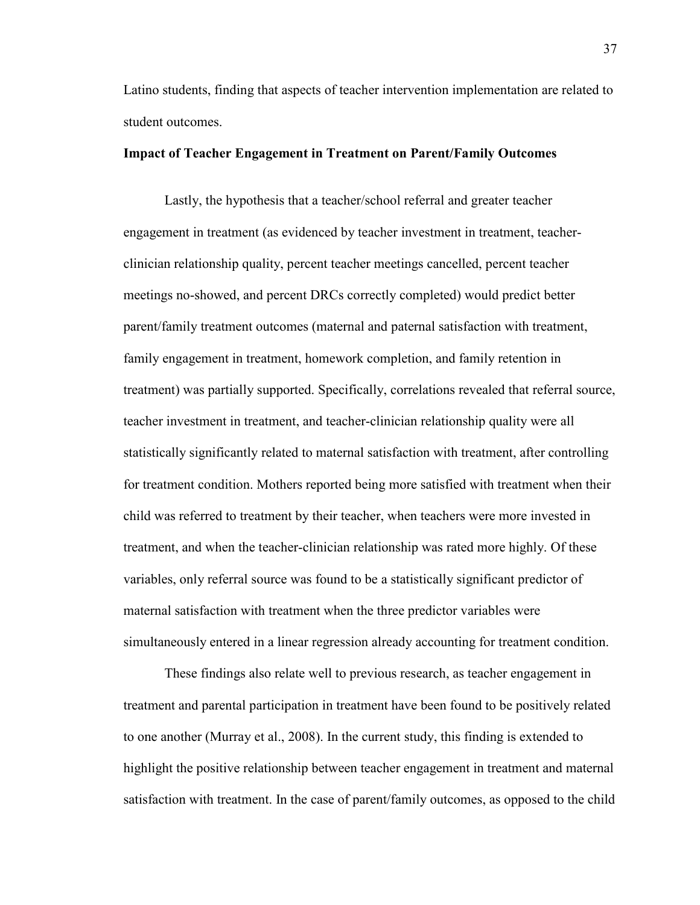Latino students, finding that aspects of teacher intervention implementation are related to student outcomes.

### **Impact of Teacher Engagement in Treatment on Parent/Family Outcomes**

Lastly, the hypothesis that a teacher/school referral and greater teacher engagement in treatment (as evidenced by teacher investment in treatment, teacherclinician relationship quality, percent teacher meetings cancelled, percent teacher meetings no-showed, and percent DRCs correctly completed) would predict better parent/family treatment outcomes (maternal and paternal satisfaction with treatment, family engagement in treatment, homework completion, and family retention in treatment) was partially supported. Specifically, correlations revealed that referral source, teacher investment in treatment, and teacher-clinician relationship quality were all statistically significantly related to maternal satisfaction with treatment, after controlling for treatment condition. Mothers reported being more satisfied with treatment when their child was referred to treatment by their teacher, when teachers were more invested in treatment, and when the teacher-clinician relationship was rated more highly. Of these variables, only referral source was found to be a statistically significant predictor of maternal satisfaction with treatment when the three predictor variables were simultaneously entered in a linear regression already accounting for treatment condition.

These findings also relate well to previous research, as teacher engagement in treatment and parental participation in treatment have been found to be positively related to one another (Murray et al., 2008). In the current study, this finding is extended to highlight the positive relationship between teacher engagement in treatment and maternal satisfaction with treatment. In the case of parent/family outcomes, as opposed to the child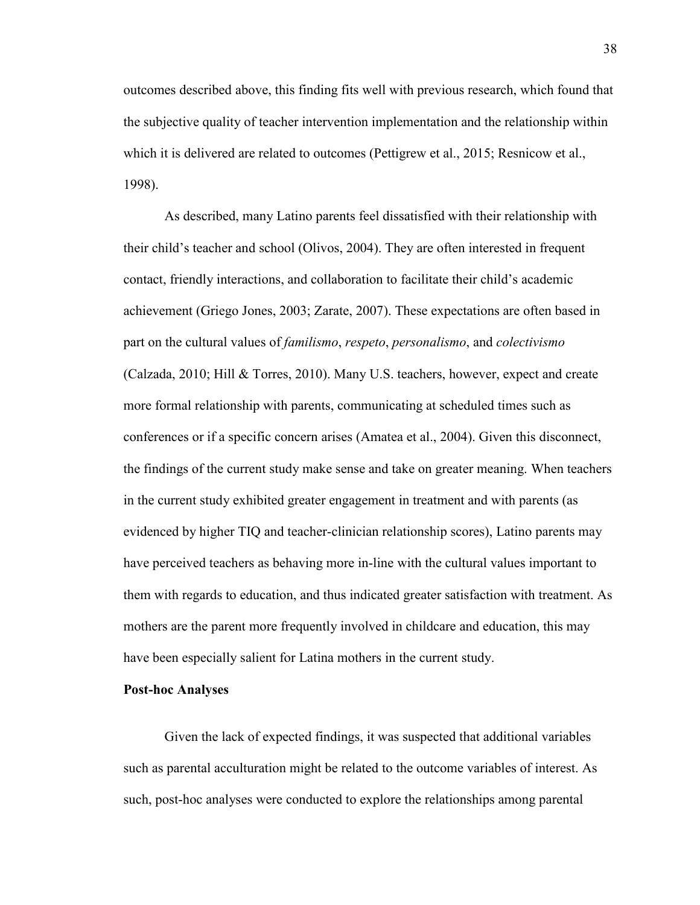outcomes described above, this finding fits well with previous research, which found that the subjective quality of teacher intervention implementation and the relationship within which it is delivered are related to outcomes (Pettigrew et al., 2015; Resnicow et al., 1998).

As described, many Latino parents feel dissatisfied with their relationship with their child's teacher and school (Olivos, 2004). They are often interested in frequent contact, friendly interactions, and collaboration to facilitate their child's academic achievement (Griego Jones, 2003; Zarate, 2007). These expectations are often based in part on the cultural values of *familismo*, *respeto*, *personalismo*, and *colectivismo*  (Calzada, 2010; Hill & Torres, 2010). Many U.S. teachers, however, expect and create more formal relationship with parents, communicating at scheduled times such as conferences or if a specific concern arises (Amatea et al., 2004). Given this disconnect, the findings of the current study make sense and take on greater meaning. When teachers in the current study exhibited greater engagement in treatment and with parents (as evidenced by higher TIQ and teacher-clinician relationship scores), Latino parents may have perceived teachers as behaving more in-line with the cultural values important to them with regards to education, and thus indicated greater satisfaction with treatment. As mothers are the parent more frequently involved in childcare and education, this may have been especially salient for Latina mothers in the current study.

#### **Post-hoc Analyses**

 Given the lack of expected findings, it was suspected that additional variables such as parental acculturation might be related to the outcome variables of interest. As such, post-hoc analyses were conducted to explore the relationships among parental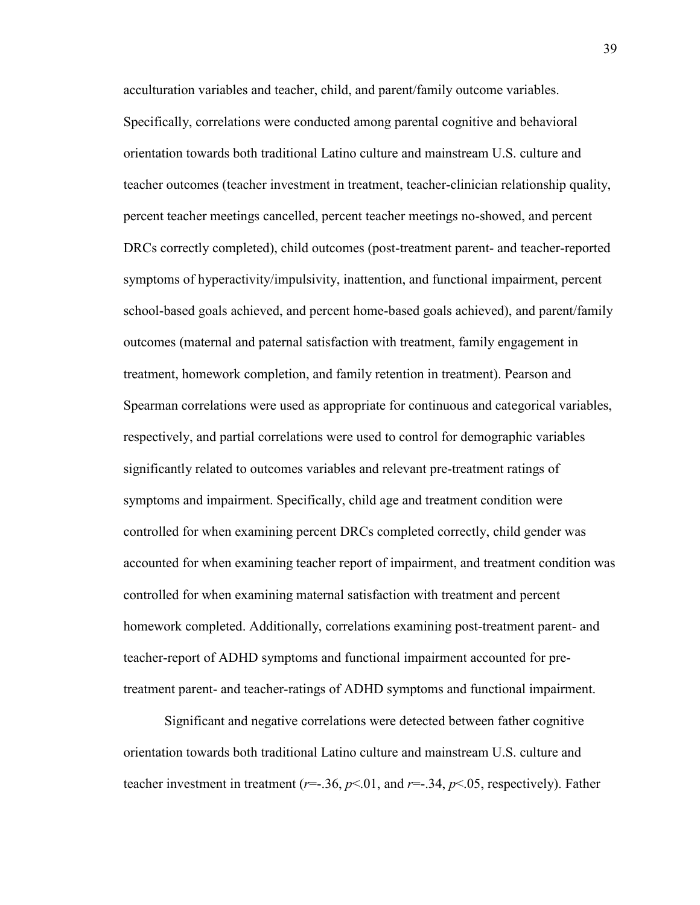acculturation variables and teacher, child, and parent/family outcome variables. Specifically, correlations were conducted among parental cognitive and behavioral orientation towards both traditional Latino culture and mainstream U.S. culture and teacher outcomes (teacher investment in treatment, teacher-clinician relationship quality, percent teacher meetings cancelled, percent teacher meetings no-showed, and percent DRCs correctly completed), child outcomes (post-treatment parent- and teacher-reported symptoms of hyperactivity/impulsivity, inattention, and functional impairment, percent school-based goals achieved, and percent home-based goals achieved), and parent/family outcomes (maternal and paternal satisfaction with treatment, family engagement in treatment, homework completion, and family retention in treatment). Pearson and Spearman correlations were used as appropriate for continuous and categorical variables, respectively, and partial correlations were used to control for demographic variables significantly related to outcomes variables and relevant pre-treatment ratings of symptoms and impairment. Specifically, child age and treatment condition were controlled for when examining percent DRCs completed correctly, child gender was accounted for when examining teacher report of impairment, and treatment condition was controlled for when examining maternal satisfaction with treatment and percent homework completed. Additionally, correlations examining post-treatment parent- and teacher-report of ADHD symptoms and functional impairment accounted for pretreatment parent- and teacher-ratings of ADHD symptoms and functional impairment.

Significant and negative correlations were detected between father cognitive orientation towards both traditional Latino culture and mainstream U.S. culture and teacher investment in treatment ( $r = 0.36$ ,  $p < 0.01$ , and  $r = 0.34$ ,  $p < 0.05$ , respectively). Father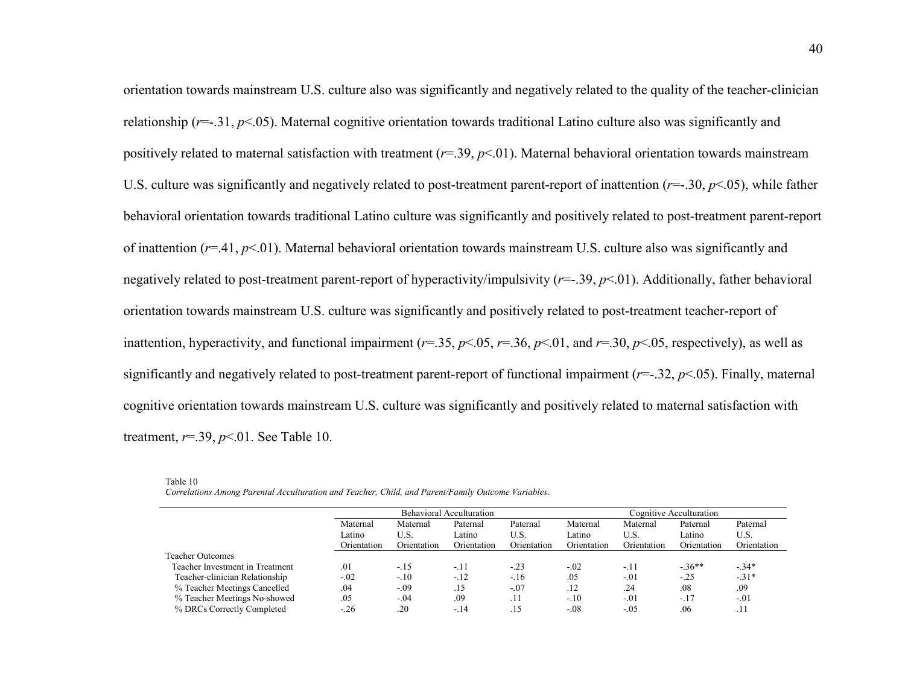orientation towards mainstream U.S. culture also was significantly and negatively related to the quality of the teacher-clinician relationship (*r*=-.31, *p*<.05). Maternal cognitive orientation towards traditional Latino culture also was significantly and positively related to maternal satisfaction with treatment (*r*=.39, *p*<.01). Maternal behavioral orientation towards mainstream U.S. culture was significantly and negatively related to post-treatment parent-report of inattention (*r*=-.30, *p*<.05), while father behavioral orientation towards traditional Latino culture was significantly and positively related to post-treatment parent-report of inattention (*r*=.41, *p*<.01). Maternal behavioral orientation towards mainstream U.S. culture also was significantly and negatively related to post-treatment parent-report of hyperactivity/impulsivity (*r*=-.39, *p*<.01). Additionally, father behavioral orientation towards mainstream U.S. culture was significantly and positively related to post-treatment teacher-report of inattention, hyperactivity, and functional impairment (*r*=.35, *p*<.05, *r*=.36, *p*<.01, and *r*=.30, *p*<.05, respectively), as well as significantly and negatively related to post-treatment parent-report of functional impairment (*r*=-.32, *p*<.05). Finally, maternal cognitive orientation towards mainstream U.S. culture was significantly and positively related to maternal satisfaction with treatment, *r*=.39, *p*<.01. See Table 10.

|                                 |             |             | <b>Behavioral Acculturation</b> |             | Cognitive Acculturation |             |             |             |  |
|---------------------------------|-------------|-------------|---------------------------------|-------------|-------------------------|-------------|-------------|-------------|--|
|                                 | Maternal    | Maternal    | Paternal                        | Paternal    | Maternal                | Maternal    | Paternal    | Paternal    |  |
|                                 | Latino      | U.S.        | Latino                          | U.S.        | Latino                  | U.S.        | Latino      | U.S.        |  |
|                                 | Orientation | Orientation | Orientation                     | Orientation | Orientation             | Orientation | Orientation | Orientation |  |
| <b>Teacher Outcomes</b>         |             |             |                                 |             |                         |             |             |             |  |
| Teacher Investment in Treatment | .01         | $-15$       | $-.11$                          | $-.23$      | $-.02$                  | $-11$       | $-.36***$   | $-34*$      |  |
| Teacher-clinician Relationship  | $-.02$      | $-.10$      | $-12$                           | $-16$       | .05                     | $-.01$      | $-.25$      | $-31*$      |  |
| % Teacher Meetings Cancelled    | .04         | $-.09$      | .15                             | $-.07$      | .12                     | .24         | .08         | .09         |  |
| % Teacher Meetings No-showed    | .05         | $-.04$      | .09                             | .11         | $-.10$                  | $-.01$      | $-17$       | $-.01$      |  |
| % DRCs Correctly Completed      | $-.26$      | .20         | $-.14$                          | .15         | $-.08$                  | $-.05$      | .06         | .11         |  |

| Table 10                                                                                           |
|----------------------------------------------------------------------------------------------------|
| Correlations Among Parental Acculturation and Teacher, Child, and Parent/Family Outcome Variables. |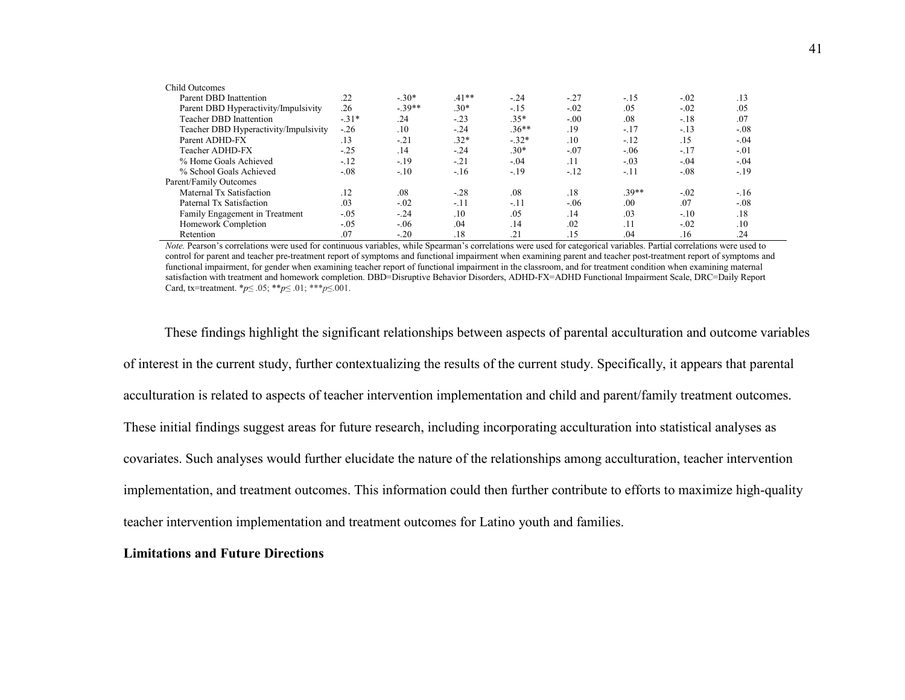| Child Outcomes                        |        |         |         |         |        |         |        |        |
|---------------------------------------|--------|---------|---------|---------|--------|---------|--------|--------|
| Parent DBD Inattention                | .22    | $-.30*$ | $.41**$ | $-.24$  | $-.27$ | $-15$   | $-.02$ | .13    |
| Parent DBD Hyperactivity/Impulsivity  | .26    | $-39**$ | $.30*$  | $-15$   | $-.02$ | .05     | $-.02$ | .05    |
| Teacher DBD Inattention               | $-31*$ | .24     | $-.23$  | $.35*$  | $-.00$ | .08     | $-.18$ | .07    |
| Teacher DBD Hyperactivity/Impulsivity | $-.26$ | .10     | $-.24$  | $.36**$ | .19    | $-.17$  | $-13$  | $-.08$ |
| Parent ADHD-FX                        | .13    | $-21$   | $.32*$  | $-.32*$ | .10    | $-12$   | .15    | $-.04$ |
| Teacher ADHD-FX                       | $-.25$ | .14     | $-.24$  | $.30*$  | $-.07$ | $-0.06$ | $-.17$ | $-.01$ |
| % Home Goals Achieved                 | $-12$  | $-19$   | $-21$   | $-.04$  | .11    | $-.03$  | $-.04$ | $-.04$ |
| % School Goals Achieved               | $-.08$ | $-.10$  | $-16$   | $-19$   | $-12$  | $-11$   | $-.08$ | $-19$  |
| Parent/Family Outcomes                |        |         |         |         |        |         |        |        |
| Maternal Tx Satisfaction              | .12    | .08     | $-.28$  | .08     | .18    | $.39**$ | $-.02$ | $-16$  |
| Paternal Tx Satisfaction              | .03    | $-.02$  | $-11$   | $-.11$  | $-.06$ | .00     | .07    | $-.08$ |
| Family Engagement in Treatment        | $-.05$ | $-.24$  | .10     | .05     | .14    | .03     | $-.10$ | .18    |
| Homework Completion                   | $-.05$ | $-0.06$ | .04     | .14     | .02    | .11     | $-.02$ | .10    |
| Retention                             | .07    | $-20$   | .18     | .21     | .15    | .04     | .16    | .24    |

 *Note.* Pearson's correlations were used for continuous variables, while Spearman's correlations were used for categorical variables. Partial correlations were used to control for parent and teacher pre-treatment report of symptoms and functional impairment when examining parent and teacher post-treatment report of symptoms and functional impairment, for gender when examining teacher report of functional impairment in the classroom, and for treatment condition when examining maternal satisfaction with treatment and homework completion. DBD=Disruptive Behavior Disorders, ADHD-FX=ADHD Functional Impairment Scale, DRC=Daily Report Card, tx=treatment. \**p*≤ .05; \*\**p*≤ .01; \*\*\**p*≤.001.

These findings highlight the significant relationships between aspects of parental acculturation and outcome variables of interest in the current study, further contextualizing the results of the current study. Specifically, it appears that parental acculturation is related to aspects of teacher intervention implementation and child and parent/family treatment outcomes. These initial findings suggest areas for future research, including incorporating acculturation into statistical analyses as covariates. Such analyses would further elucidate the nature of the relationships among acculturation, teacher intervention implementation, and treatment outcomes. This information could then further contribute to efforts to maximize high-quality teacher intervention implementation and treatment outcomes for Latino youth and families.

### **Limitations and Future Directions**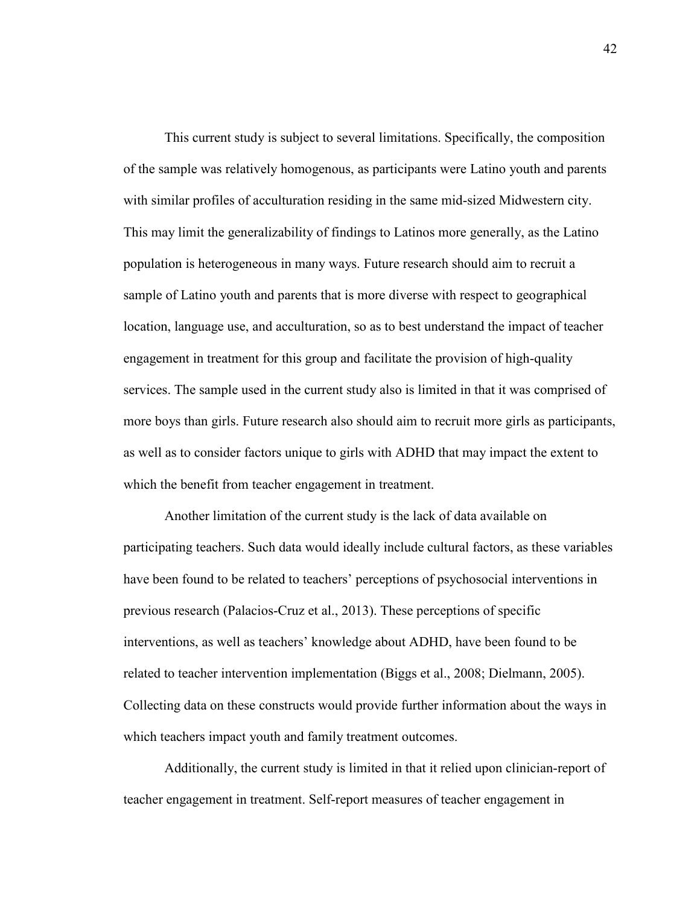This current study is subject to several limitations. Specifically, the composition of the sample was relatively homogenous, as participants were Latino youth and parents with similar profiles of acculturation residing in the same mid-sized Midwestern city. This may limit the generalizability of findings to Latinos more generally, as the Latino population is heterogeneous in many ways. Future research should aim to recruit a sample of Latino youth and parents that is more diverse with respect to geographical location, language use, and acculturation, so as to best understand the impact of teacher engagement in treatment for this group and facilitate the provision of high-quality services. The sample used in the current study also is limited in that it was comprised of more boys than girls. Future research also should aim to recruit more girls as participants, as well as to consider factors unique to girls with ADHD that may impact the extent to which the benefit from teacher engagement in treatment.

 Another limitation of the current study is the lack of data available on participating teachers. Such data would ideally include cultural factors, as these variables have been found to be related to teachers' perceptions of psychosocial interventions in previous research (Palacios-Cruz et al., 2013). These perceptions of specific interventions, as well as teachers' knowledge about ADHD, have been found to be related to teacher intervention implementation (Biggs et al., 2008; Dielmann, 2005). Collecting data on these constructs would provide further information about the ways in which teachers impact youth and family treatment outcomes.

 Additionally, the current study is limited in that it relied upon clinician-report of teacher engagement in treatment. Self-report measures of teacher engagement in

42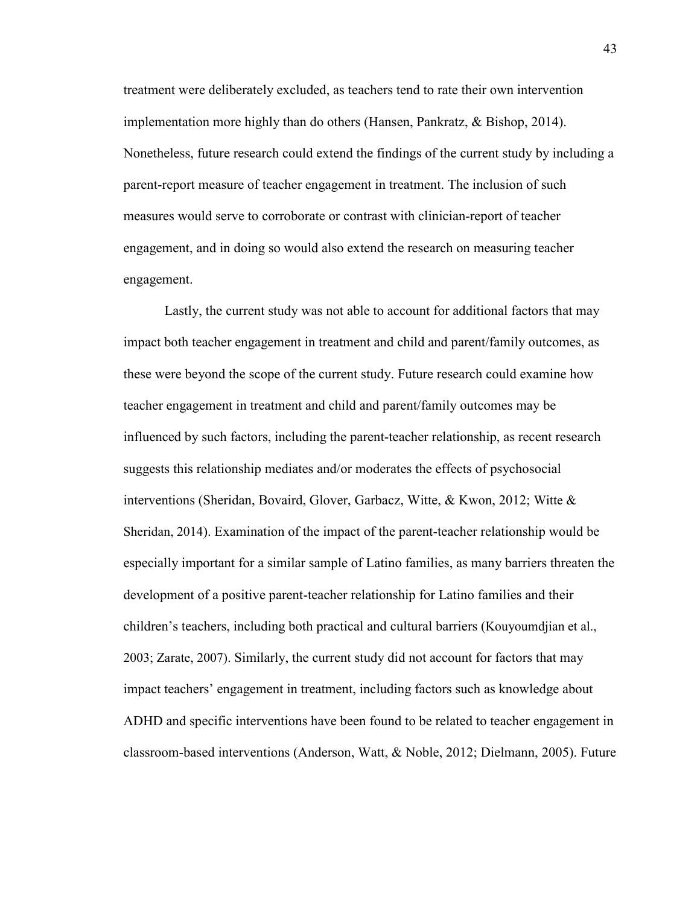treatment were deliberately excluded, as teachers tend to rate their own intervention implementation more highly than do others (Hansen, Pankratz, & Bishop, 2014). Nonetheless, future research could extend the findings of the current study by including a parent-report measure of teacher engagement in treatment. The inclusion of such measures would serve to corroborate or contrast with clinician-report of teacher engagement, and in doing so would also extend the research on measuring teacher engagement.

Lastly, the current study was not able to account for additional factors that may impact both teacher engagement in treatment and child and parent/family outcomes, as these were beyond the scope of the current study. Future research could examine how teacher engagement in treatment and child and parent/family outcomes may be influenced by such factors, including the parent-teacher relationship, as recent research suggests this relationship mediates and/or moderates the effects of psychosocial interventions (Sheridan, Bovaird, Glover, Garbacz, Witte, & Kwon, 2012; Witte & Sheridan, 2014). Examination of the impact of the parent-teacher relationship would be especially important for a similar sample of Latino families, as many barriers threaten the development of a positive parent-teacher relationship for Latino families and their children's teachers, including both practical and cultural barriers (Kouyoumdjian et al., 2003; Zarate, 2007). Similarly, the current study did not account for factors that may impact teachers' engagement in treatment, including factors such as knowledge about ADHD and specific interventions have been found to be related to teacher engagement in classroom-based interventions (Anderson, Watt, & Noble, 2012; Dielmann, 2005). Future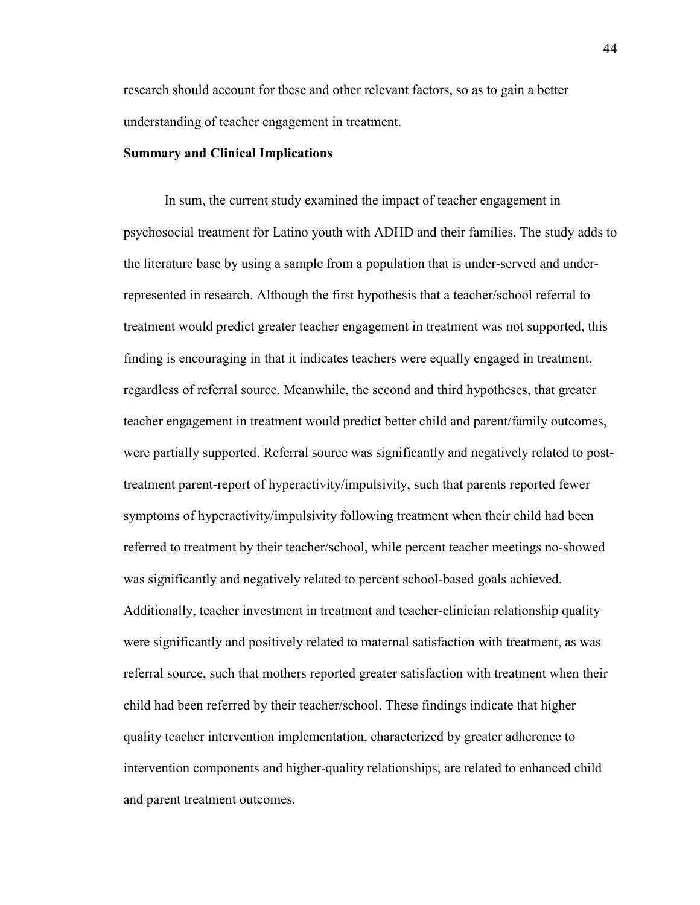research should account for these and other relevant factors, so as to gain a better understanding of teacher engagement in treatment.

#### **Summary and Clinical Implications**

 In sum, the current study examined the impact of teacher engagement in psychosocial treatment for Latino youth with ADHD and their families. The study adds to the literature base by using a sample from a population that is under-served and underrepresented in research. Although the first hypothesis that a teacher/school referral to treatment would predict greater teacher engagement in treatment was not supported, this finding is encouraging in that it indicates teachers were equally engaged in treatment, regardless of referral source. Meanwhile, the second and third hypotheses, that greater teacher engagement in treatment would predict better child and parent/family outcomes, were partially supported. Referral source was significantly and negatively related to posttreatment parent-report of hyperactivity/impulsivity, such that parents reported fewer symptoms of hyperactivity/impulsivity following treatment when their child had been referred to treatment by their teacher/school, while percent teacher meetings no-showed was significantly and negatively related to percent school-based goals achieved. Additionally, teacher investment in treatment and teacher-clinician relationship quality were significantly and positively related to maternal satisfaction with treatment, as was referral source, such that mothers reported greater satisfaction with treatment when their child had been referred by their teacher/school. These findings indicate that higher quality teacher intervention implementation, characterized by greater adherence to intervention components and higher-quality relationships, are related to enhanced child and parent treatment outcomes.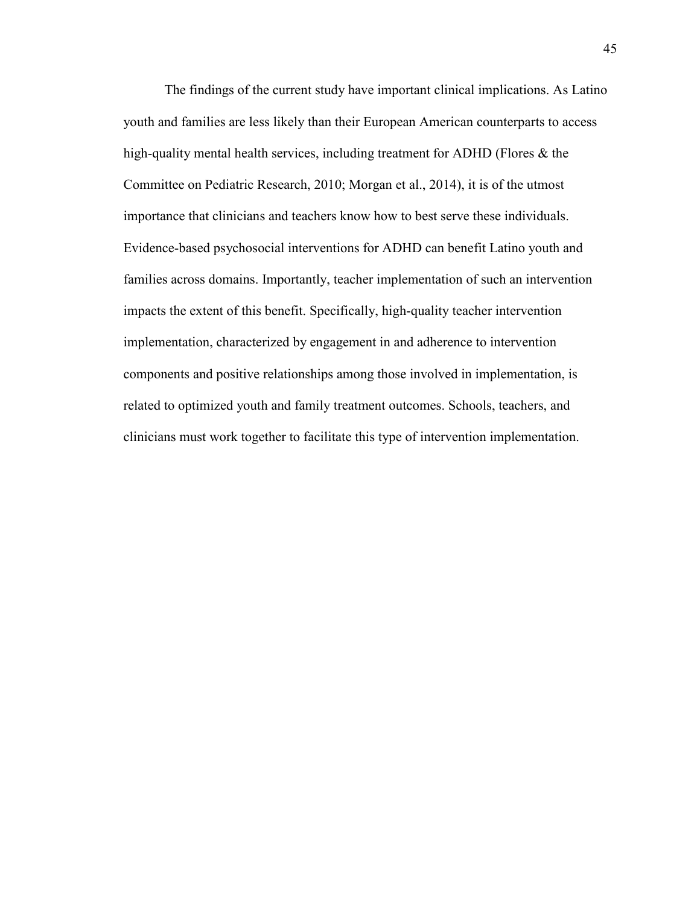The findings of the current study have important clinical implications. As Latino youth and families are less likely than their European American counterparts to access high-quality mental health services, including treatment for ADHD (Flores & the Committee on Pediatric Research, 2010; Morgan et al., 2014), it is of the utmost importance that clinicians and teachers know how to best serve these individuals. Evidence-based psychosocial interventions for ADHD can benefit Latino youth and families across domains. Importantly, teacher implementation of such an intervention impacts the extent of this benefit. Specifically, high-quality teacher intervention implementation, characterized by engagement in and adherence to intervention components and positive relationships among those involved in implementation, is related to optimized youth and family treatment outcomes. Schools, teachers, and clinicians must work together to facilitate this type of intervention implementation.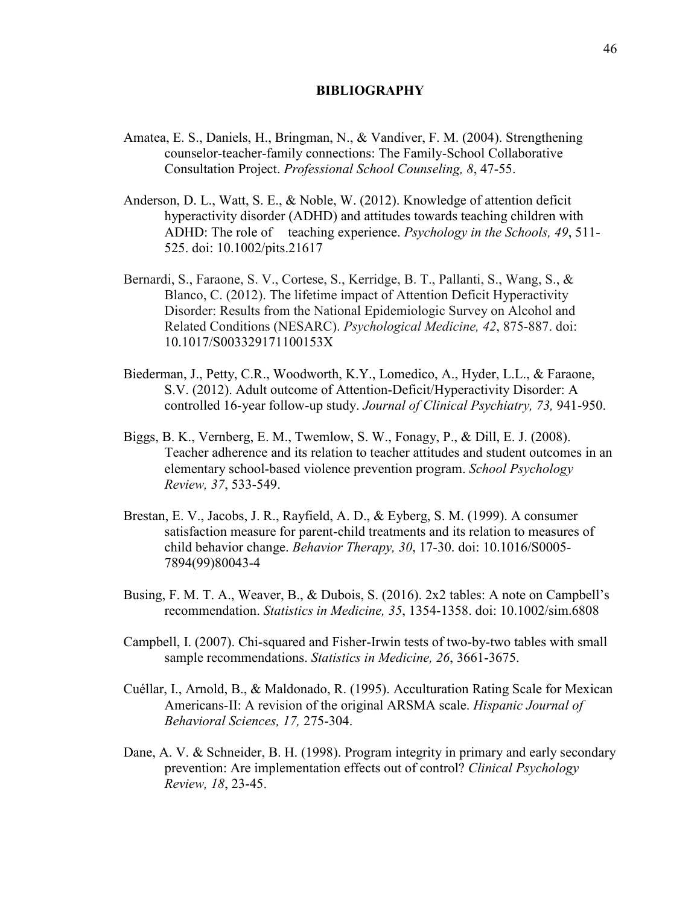#### **BIBLIOGRAPHY**

- Amatea, E. S., Daniels, H., Bringman, N., & Vandiver, F. M. (2004). Strengthening counselor-teacher-family connections: The Family-School Collaborative Consultation Project. *Professional School Counseling, 8*, 47-55.
- Anderson, D. L., Watt, S. E., & Noble, W. (2012). Knowledge of attention deficit hyperactivity disorder (ADHD) and attitudes towards teaching children with ADHD: The role of teaching experience. *Psychology in the Schools, 49*, 511- 525. doi: 10.1002/pits.21617
- Bernardi, S., Faraone, S. V., Cortese, S., Kerridge, B. T., Pallanti, S., Wang, S., & Blanco, C. (2012). The lifetime impact of Attention Deficit Hyperactivity Disorder: Results from the National Epidemiologic Survey on Alcohol and Related Conditions (NESARC). *Psychological Medicine, 42*, 875-887. doi: 10.1017/S003329171100153X
- Biederman, J., Petty, C.R., Woodworth, K.Y., Lomedico, A., Hyder, L.L., & Faraone, S.V. (2012). Adult outcome of Attention-Deficit/Hyperactivity Disorder: A controlled 16-year follow-up study. *Journal of Clinical Psychiatry, 73,* 941-950.
- Biggs, B. K., Vernberg, E. M., Twemlow, S. W., Fonagy, P., & Dill, E. J. (2008). Teacher adherence and its relation to teacher attitudes and student outcomes in an elementary school-based violence prevention program. *School Psychology Review, 37*, 533-549.
- Brestan, E. V., Jacobs, J. R., Rayfield, A. D., & Eyberg, S. M. (1999). A consumer satisfaction measure for parent-child treatments and its relation to measures of child behavior change. *Behavior Therapy, 30*, 17-30. doi: 10.1016/S0005- 7894(99)80043-4
- Busing, F. M. T. A., Weaver, B., & Dubois, S. (2016). 2x2 tables: A note on Campbell's recommendation. *Statistics in Medicine, 35*, 1354-1358. doi: 10.1002/sim.6808
- Campbell, I. (2007). Chi-squared and Fisher-Irwin tests of two-by-two tables with small sample recommendations. *Statistics in Medicine, 26*, 3661-3675.
- Cuéllar, I., Arnold, B., & Maldonado, R. (1995). Acculturation Rating Scale for Mexican Americans-II: A revision of the original ARSMA scale. *Hispanic Journal of Behavioral Sciences, 17,* 275-304.
- Dane, A. V. & Schneider, B. H. (1998). Program integrity in primary and early secondary prevention: Are implementation effects out of control? *Clinical Psychology Review, 18*, 23-45.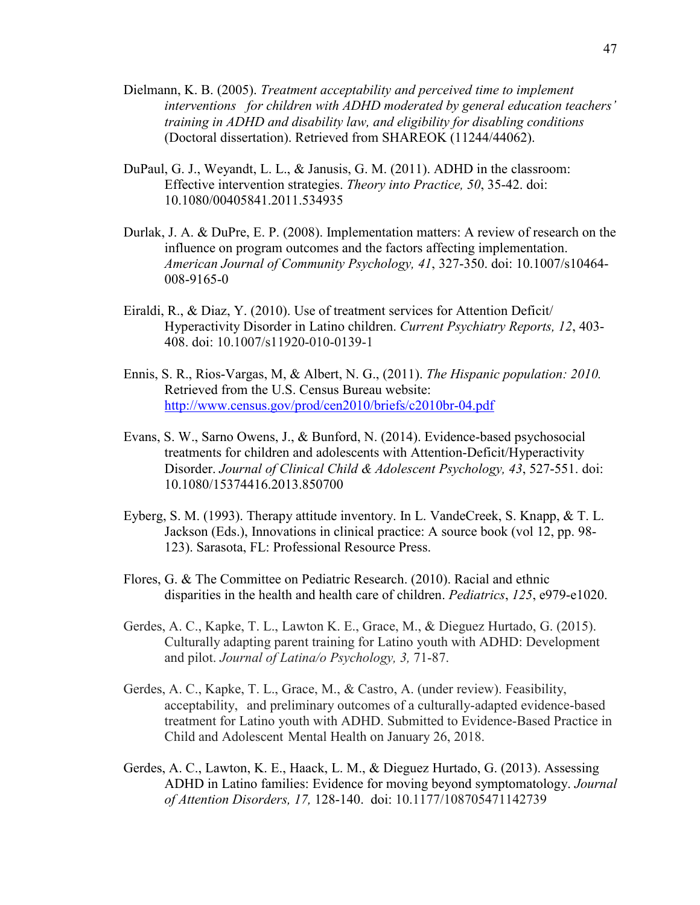- Dielmann, K. B. (2005). *Treatment acceptability and perceived time to implement interventions for children with ADHD moderated by general education teachers' training in ADHD and disability law, and eligibility for disabling conditions* (Doctoral dissertation). Retrieved from SHAREOK (11244/44062).
- DuPaul, G. J., Weyandt, L. L., & Janusis, G. M. (2011). ADHD in the classroom: Effective intervention strategies. *Theory into Practice, 50*, 35-42. doi: 10.1080/00405841.2011.534935
- Durlak, J. A. & DuPre, E. P. (2008). Implementation matters: A review of research on the influence on program outcomes and the factors affecting implementation. *American Journal of Community Psychology, 41*, 327-350. doi: 10.1007/s10464- 008-9165-0
- Eiraldi, R., & Diaz, Y. (2010). Use of treatment services for Attention Deficit/ Hyperactivity Disorder in Latino children. *Current Psychiatry Reports, 12*, 403- 408. doi: 10.1007/s11920-010-0139-1
- Ennis, S. R., Rios-Vargas, M, & Albert, N. G., (2011). *The Hispanic population: 2010.* Retrieved from the U.S. Census Bureau website: http://www.census.gov/prod/cen2010/briefs/c2010br-04.pdf
- Evans, S. W., Sarno Owens, J., & Bunford, N. (2014). Evidence-based psychosocial treatments for children and adolescents with Attention-Deficit/Hyperactivity Disorder. *Journal of Clinical Child & Adolescent Psychology, 43*, 527-551. doi: 10.1080/15374416.2013.850700
- Eyberg, S. M. (1993). Therapy attitude inventory. In L. VandeCreek, S. Knapp, & T. L. Jackson (Eds.), Innovations in clinical practice: A source book (vol 12, pp. 98- 123). Sarasota, FL: Professional Resource Press.
- Flores, G. & The Committee on Pediatric Research. (2010). Racial and ethnic disparities in the health and health care of children. *Pediatrics*, *125*, e979-e1020.
- Gerdes, A. C., Kapke, T. L., Lawton K. E., Grace, M., & Dieguez Hurtado, G. (2015). Culturally adapting parent training for Latino youth with ADHD: Development and pilot. *Journal of Latina/o Psychology, 3,* 71-87.
- Gerdes, A. C., Kapke, T. L., Grace, M., & Castro, A. (under review). Feasibility, acceptability, and preliminary outcomes of a culturally-adapted evidence-based treatment for Latino youth with ADHD. Submitted to Evidence-Based Practice in Child and Adolescent Mental Health on January 26, 2018.
- Gerdes, A. C., Lawton, K. E., Haack, L. M., & Dieguez Hurtado, G. (2013). Assessing ADHD in Latino families: Evidence for moving beyond symptomatology. *Journal of Attention Disorders, 17,* 128-140. doi: 10.1177/108705471142739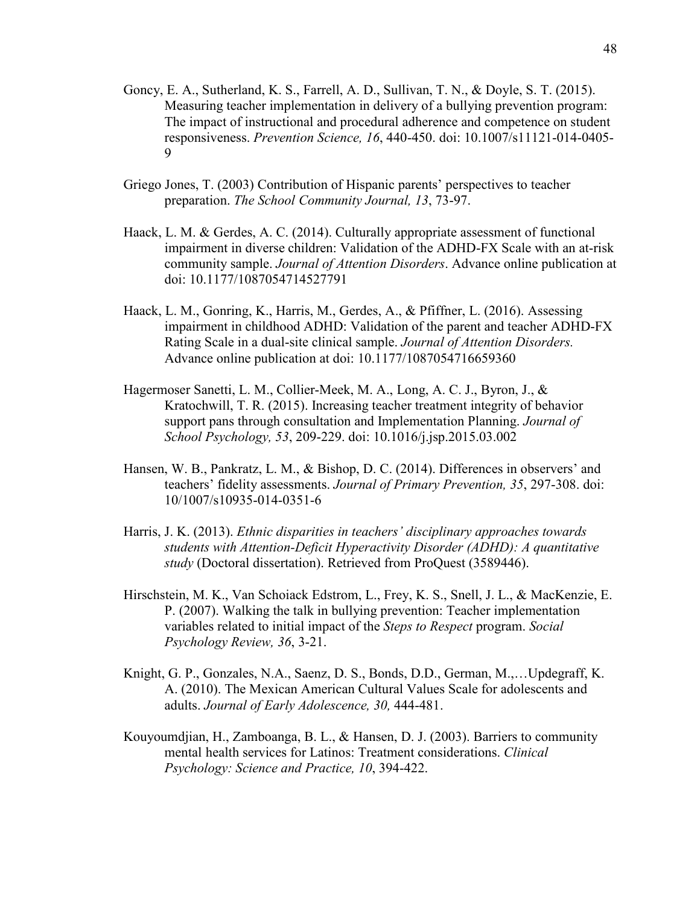- Goncy, E. A., Sutherland, K. S., Farrell, A. D., Sullivan, T. N., & Doyle, S. T. (2015). Measuring teacher implementation in delivery of a bullying prevention program: The impact of instructional and procedural adherence and competence on student responsiveness. *Prevention Science, 16*, 440-450. doi: 10.1007/s11121-014-0405- 9
- Griego Jones, T. (2003) Contribution of Hispanic parents' perspectives to teacher preparation. *The School Community Journal, 13*, 73-97.
- Haack, L. M. & Gerdes, A. C. (2014). Culturally appropriate assessment of functional impairment in diverse children: Validation of the ADHD-FX Scale with an at-risk community sample. *Journal of Attention Disorders*. Advance online publication at doi: 10.1177/1087054714527791
- Haack, L. M., Gonring, K., Harris, M., Gerdes, A., & Pfiffner, L. (2016). Assessing impairment in childhood ADHD: Validation of the parent and teacher ADHD-FX Rating Scale in a dual-site clinical sample. *Journal of Attention Disorders.*  Advance online publication at doi: 10.1177/1087054716659360
- Hagermoser Sanetti, L. M., Collier-Meek, M. A., Long, A. C. J., Byron, J., & Kratochwill, T. R. (2015). Increasing teacher treatment integrity of behavior support pans through consultation and Implementation Planning. *Journal of School Psychology, 53*, 209-229. doi: 10.1016/j.jsp.2015.03.002
- Hansen, W. B., Pankratz, L. M., & Bishop, D. C. (2014). Differences in observers' and teachers' fidelity assessments. *Journal of Primary Prevention, 35*, 297-308. doi: 10/1007/s10935-014-0351-6
- Harris, J. K. (2013). *Ethnic disparities in teachers' disciplinary approaches towards students with Attention-Deficit Hyperactivity Disorder (ADHD): A quantitative study* (Doctoral dissertation). Retrieved from ProQuest (3589446).
- Hirschstein, M. K., Van Schoiack Edstrom, L., Frey, K. S., Snell, J. L., & MacKenzie, E. P. (2007). Walking the talk in bullying prevention: Teacher implementation variables related to initial impact of the *Steps to Respect* program. *Social Psychology Review, 36*, 3-21.
- Knight, G. P., Gonzales, N.A., Saenz, D. S., Bonds, D.D., German, M.,…Updegraff, K. A. (2010). The Mexican American Cultural Values Scale for adolescents and adults. *Journal of Early Adolescence, 30,* 444-481.
- Kouyoumdjian, H., Zamboanga, B. L., & Hansen, D. J. (2003). Barriers to community mental health services for Latinos: Treatment considerations. *Clinical Psychology: Science and Practice, 10*, 394-422.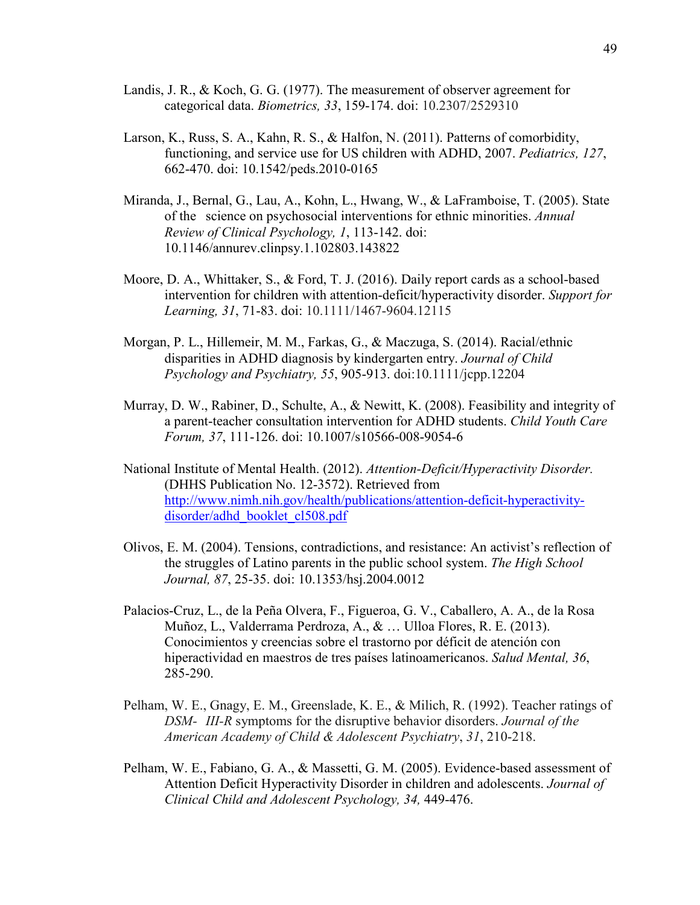- Landis, J. R., & Koch, G. G. (1977). The measurement of observer agreement for categorical data. *Biometrics, 33*, 159-174. doi: 10.2307/2529310
- Larson, K., Russ, S. A., Kahn, R. S., & Halfon, N. (2011). Patterns of comorbidity, functioning, and service use for US children with ADHD, 2007. *Pediatrics, 127*, 662-470. doi: 10.1542/peds.2010-0165
- Miranda, J., Bernal, G., Lau, A., Kohn, L., Hwang, W., & LaFramboise, T. (2005). State of the science on psychosocial interventions for ethnic minorities. *Annual Review of Clinical Psychology, 1*, 113-142. doi: 10.1146/annurev.clinpsy.1.102803.143822
- Moore, D. A., Whittaker, S., & Ford, T. J. (2016). Daily report cards as a school-based intervention for children with attention-deficit/hyperactivity disorder. *Support for Learning, 31*, 71-83. doi: 10.1111/1467-9604.12115
- Morgan, P. L., Hillemeir, M. M., Farkas, G., & Maczuga, S. (2014). Racial/ethnic disparities in ADHD diagnosis by kindergarten entry. *Journal of Child Psychology and Psychiatry, 55*, 905-913. doi:10.1111/jcpp.12204
- Murray, D. W., Rabiner, D., Schulte, A., & Newitt, K. (2008). Feasibility and integrity of a parent-teacher consultation intervention for ADHD students. *Child Youth Care Forum, 37*, 111-126. doi: 10.1007/s10566-008-9054-6
- National Institute of Mental Health. (2012). *Attention-Deficit/Hyperactivity Disorder.*  (DHHS Publication No. 12-3572). Retrieved from http://www.nimh.nih.gov/health/publications/attention-deficit-hyperactivitydisorder/adhd\_booklet\_cl508.pdf
- Olivos, E. M. (2004). Tensions, contradictions, and resistance: An activist's reflection of the struggles of Latino parents in the public school system. *The High School Journal, 87*, 25-35. doi: 10.1353/hsj.2004.0012
- Palacios-Cruz, L., de la Peña Olvera, F., Figueroa, G. V., Caballero, A. A., de la Rosa Muñoz, L., Valderrama Perdroza, A., & … Ulloa Flores, R. E. (2013). Conocimientos y creencias sobre el trastorno por déficit de atención con hiperactividad en maestros de tres países latinoamericanos. *Salud Mental, 36*, 285-290.
- Pelham, W. E., Gnagy, E. M., Greenslade, K. E., & Milich, R. (1992). Teacher ratings of *DSM- III-R* symptoms for the disruptive behavior disorders. *Journal of the American Academy of Child & Adolescent Psychiatry*, *31*, 210-218.
- Pelham, W. E., Fabiano, G. A., & Massetti, G. M. (2005). Evidence-based assessment of Attention Deficit Hyperactivity Disorder in children and adolescents. *Journal of Clinical Child and Adolescent Psychology, 34,* 449-476.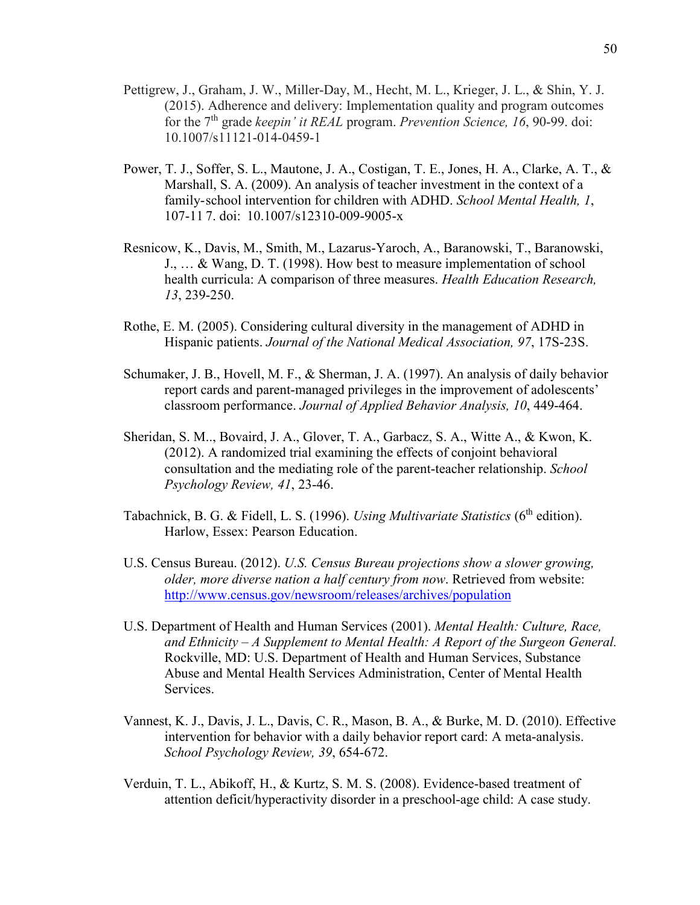- Pettigrew, J., Graham, J. W., Miller-Day, M., Hecht, M. L., Krieger, J. L., & Shin, Y. J. (2015). Adherence and delivery: Implementation quality and program outcomes for the 7th grade *keepin' it REAL* program. *Prevention Science, 16*, 90-99. doi: 10.1007/s11121-014-0459-1
- Power, T. J., Soffer, S. L., Mautone, J. A., Costigan, T. E., Jones, H. A., Clarke, A. T., & Marshall, S. A. (2009). An analysis of teacher investment in the context of a family- school intervention for children with ADHD. *School Mental Health, 1*, 107-11 7. doi: 10.1007/s12310-009-9005-x
- Resnicow, K., Davis, M., Smith, M., Lazarus-Yaroch, A., Baranowski, T., Baranowski, J., … & Wang, D. T. (1998). How best to measure implementation of school health curricula: A comparison of three measures. *Health Education Research, 13*, 239-250.
- Rothe, E. M. (2005). Considering cultural diversity in the management of ADHD in Hispanic patients. *Journal of the National Medical Association, 97*, 17S-23S.
- Schumaker, J. B., Hovell, M. F., & Sherman, J. A. (1997). An analysis of daily behavior report cards and parent-managed privileges in the improvement of adolescents' classroom performance. *Journal of Applied Behavior Analysis, 10*, 449-464.
- Sheridan, S. M.., Bovaird, J. A., Glover, T. A., Garbacz, S. A., Witte A., & Kwon, K. (2012). A randomized trial examining the effects of conjoint behavioral consultation and the mediating role of the parent-teacher relationship. *School Psychology Review, 41*, 23-46.
- Tabachnick, B. G. & Fidell, L. S. (1996). *Using Multivariate Statistics* (6<sup>th</sup> edition). Harlow, Essex: Pearson Education.
- U.S. Census Bureau. (2012). *U.S. Census Bureau projections show a slower growing, older, more diverse nation a half century from now*. Retrieved from website: http://www.census.gov/newsroom/releases/archives/population
- U.S. Department of Health and Human Services (2001). *Mental Health: Culture, Race, and Ethnicity – A Supplement to Mental Health: A Report of the Surgeon General.*  Rockville, MD: U.S. Department of Health and Human Services, Substance Abuse and Mental Health Services Administration, Center of Mental Health Services.
- Vannest, K. J., Davis, J. L., Davis, C. R., Mason, B. A., & Burke, M. D. (2010). Effective intervention for behavior with a daily behavior report card: A meta-analysis. *School Psychology Review, 39*, 654-672.
- Verduin, T. L., Abikoff, H., & Kurtz, S. M. S. (2008). Evidence-based treatment of attention deficit/hyperactivity disorder in a preschool-age child: A case study.